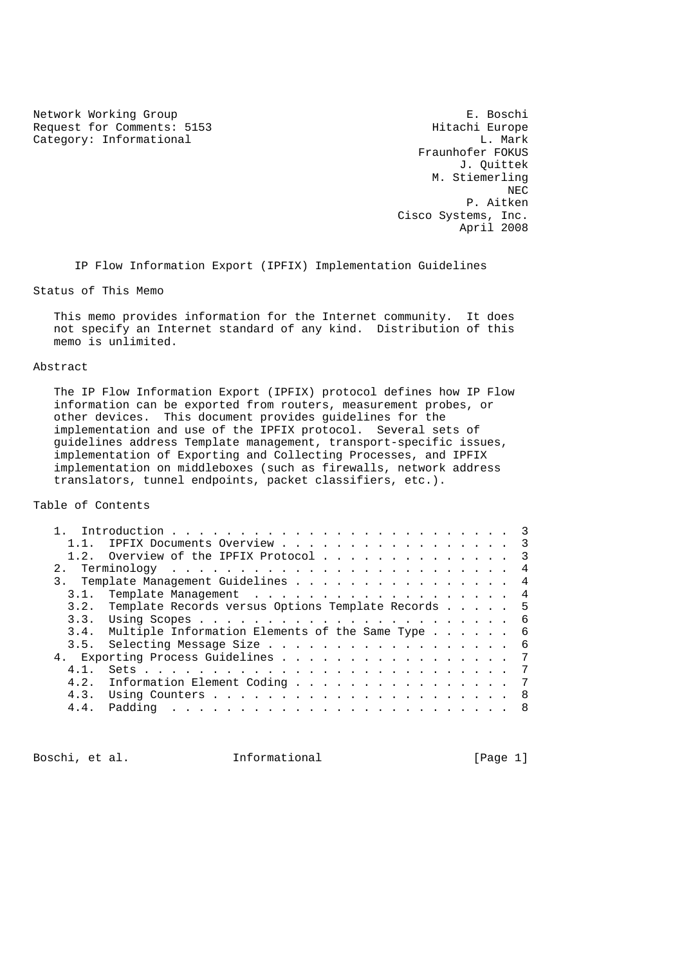Network Working Group<br>
Request for Comments: 5153 E. Boschi Europe Request for Comments: 5153 <br>Category: Informational by the category: Informational by the category: Informational by the category:  $\Gamma$ . Category: Informational

 Fraunhofer FOKUS J. Quittek M. Stiemerling NECTRIC INTENSITY OF REAL PROPERTY AND REAL PROPERTY OF REAL PROPERTY. P. Aitken Cisco Systems, Inc. April 2008

IP Flow Information Export (IPFIX) Implementation Guidelines

Status of This Memo

 This memo provides information for the Internet community. It does not specify an Internet standard of any kind. Distribution of this memo is unlimited.

# Abstract

 The IP Flow Information Export (IPFIX) protocol defines how IP Flow information can be exported from routers, measurement probes, or other devices. This document provides guidelines for the implementation and use of the IPFIX protocol. Several sets of guidelines address Template management, transport-specific issues, implementation of Exporting and Collecting Processes, and IPFIX implementation on middleboxes (such as firewalls, network address translators, tunnel endpoints, packet classifiers, etc.).

Table of Contents

| $1\quad1$ | IPFIX Documents Overview 3                              |  |  |  |
|-----------|---------------------------------------------------------|--|--|--|
|           | 1.2. Overview of the IPFIX Protocol 3                   |  |  |  |
|           |                                                         |  |  |  |
|           | 3. Template Management Guidelines 4                     |  |  |  |
| 3.1.      | Template Management 4                                   |  |  |  |
|           | 3.2. Template Records versus Options Template Records 5 |  |  |  |
|           |                                                         |  |  |  |
| 3.4.      | Multiple Information Elements of the Same Type 6        |  |  |  |
| 3.5.      | Selecting Message Size 6                                |  |  |  |
|           | 4. Exporting Process Guidelines 7                       |  |  |  |
| 4 1       |                                                         |  |  |  |
|           | 4.2. Information Element Coding 7                       |  |  |  |
|           |                                                         |  |  |  |
| 4.4.      |                                                         |  |  |  |
|           |                                                         |  |  |  |

Boschi, et al. 1nformational [Page 1]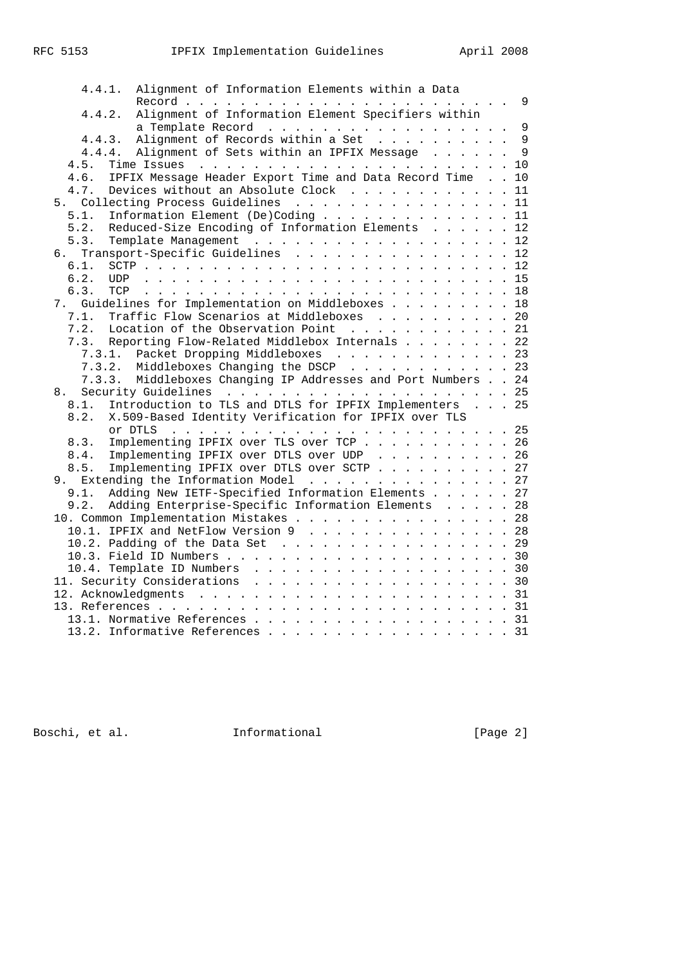| Alignment of Information Elements within a Data<br>4.4.1.        |  |                |
|------------------------------------------------------------------|--|----------------|
| Alignment of Information Element Specifiers within<br>4.4.2.     |  |                |
| a Template Record 9                                              |  |                |
| Alignment of Records within a Set                                |  | $\overline{9}$ |
| 4.4.3.                                                           |  |                |
| 4.4.4. Alignment of Sets within an IPFIX Message 9               |  |                |
| 4.5.                                                             |  |                |
| IPFIX Message Header Export Time and Data Record Time 10<br>4.6. |  |                |
| Devices without an Absolute Clock 11<br>4.7.                     |  |                |
| 5. Collecting Process Guidelines 11                              |  |                |
| Information Element (De)Coding 11<br>5.1.                        |  |                |
| Reduced-Size Encoding of Information Elements 12<br>5.2.         |  |                |
| 5.3.<br>Template Management 12                                   |  |                |
| Transport-Specific Guidelines 12<br>б.                           |  |                |
| 6.1.                                                             |  |                |
| 6.2.                                                             |  |                |
| 6.3.<br>TCP                                                      |  |                |
| 7. Guidelines for Implementation on Middleboxes 18               |  |                |
| Traffic Flow Scenarios at Middleboxes 20<br>7.1.                 |  |                |
| 7.2.<br>Location of the Observation Point 21                     |  |                |
|                                                                  |  |                |
| 7.3. Reporting Flow-Related Middlebox Internals 22               |  |                |
| Packet Dropping Middleboxes 23<br>7.3.1.                         |  |                |
| Middleboxes Changing the DSCP 23<br>7.3.2.                       |  |                |
| 7.3.3. Middleboxes Changing IP Addresses and Port Numbers 24     |  |                |
| 8.                                                               |  |                |
| Introduction to TLS and DTLS for IPFIX Implementers 25<br>8.1.   |  |                |
| X.509-Based Identity Verification for IPFIX over TLS<br>8.2.     |  |                |
|                                                                  |  |                |
| Implementing IPFIX over TLS over TCP 26<br>8.3.                  |  |                |
| Implementing IPFIX over DTLS over UDP 26<br>8.4.                 |  |                |
| Implementing IPFIX over DTLS over SCTP 27<br>8.5.                |  |                |
| 9. Extending the Information Model 27                            |  |                |
| Adding New IETF-Specified Information Elements 27<br>9.1.        |  |                |
| 9.2.<br>Adding Enterprise-Specific Information Elements 28       |  |                |
| 10. Common Implementation Mistakes 28                            |  |                |
| 10.1. IPFIX and NetFlow Version 9 28                             |  |                |
|                                                                  |  |                |
| 10.2. Padding of the Data Set $\ldots$ 29                        |  |                |
|                                                                  |  |                |
| 10.4. Template ID Numbers 30                                     |  |                |
| 11. Security Considerations 30                                   |  |                |
|                                                                  |  |                |
|                                                                  |  |                |
| 13.1. Normative References 31                                    |  |                |
| 13.2. Informative References 31                                  |  |                |
|                                                                  |  |                |

Boschi, et al. 1nformational [Page 2]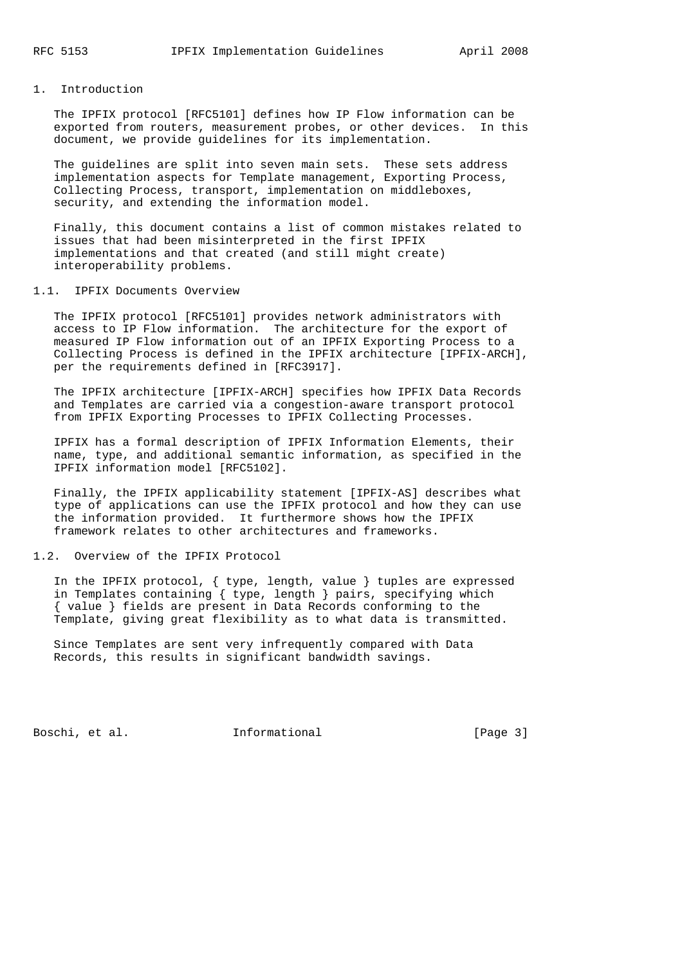# 1. Introduction

 The IPFIX protocol [RFC5101] defines how IP Flow information can be exported from routers, measurement probes, or other devices. In this document, we provide guidelines for its implementation.

 The guidelines are split into seven main sets. These sets address implementation aspects for Template management, Exporting Process, Collecting Process, transport, implementation on middleboxes, security, and extending the information model.

 Finally, this document contains a list of common mistakes related to issues that had been misinterpreted in the first IPFIX implementations and that created (and still might create) interoperability problems.

#### 1.1. IPFIX Documents Overview

 The IPFIX protocol [RFC5101] provides network administrators with access to IP Flow information. The architecture for the export of measured IP Flow information out of an IPFIX Exporting Process to a Collecting Process is defined in the IPFIX architecture [IPFIX-ARCH], per the requirements defined in [RFC3917].

 The IPFIX architecture [IPFIX-ARCH] specifies how IPFIX Data Records and Templates are carried via a congestion-aware transport protocol from IPFIX Exporting Processes to IPFIX Collecting Processes.

 IPFIX has a formal description of IPFIX Information Elements, their name, type, and additional semantic information, as specified in the IPFIX information model [RFC5102].

 Finally, the IPFIX applicability statement [IPFIX-AS] describes what type of applications can use the IPFIX protocol and how they can use the information provided. It furthermore shows how the IPFIX framework relates to other architectures and frameworks.

#### 1.2. Overview of the IPFIX Protocol

 In the IPFIX protocol, { type, length, value } tuples are expressed in Templates containing { type, length } pairs, specifying which { value } fields are present in Data Records conforming to the Template, giving great flexibility as to what data is transmitted.

 Since Templates are sent very infrequently compared with Data Records, this results in significant bandwidth savings.

Boschi, et al. 1nformational [Page 3]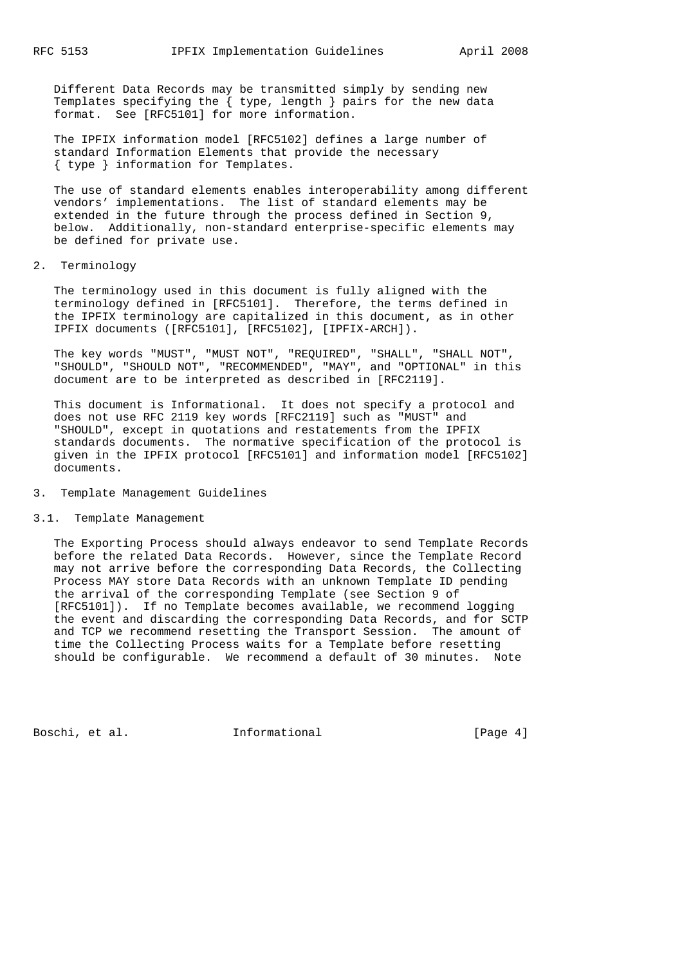Different Data Records may be transmitted simply by sending new Templates specifying the { type, length } pairs for the new data format. See [RFC5101] for more information.

 The IPFIX information model [RFC5102] defines a large number of standard Information Elements that provide the necessary { type } information for Templates.

 The use of standard elements enables interoperability among different vendors' implementations. The list of standard elements may be extended in the future through the process defined in Section 9, below. Additionally, non-standard enterprise-specific elements may be defined for private use.

# 2. Terminology

 The terminology used in this document is fully aligned with the terminology defined in [RFC5101]. Therefore, the terms defined in the IPFIX terminology are capitalized in this document, as in other IPFIX documents ([RFC5101], [RFC5102], [IPFIX-ARCH]).

 The key words "MUST", "MUST NOT", "REQUIRED", "SHALL", "SHALL NOT", "SHOULD", "SHOULD NOT", "RECOMMENDED", "MAY", and "OPTIONAL" in this document are to be interpreted as described in [RFC2119].

 This document is Informational. It does not specify a protocol and does not use RFC 2119 key words [RFC2119] such as "MUST" and "SHOULD", except in quotations and restatements from the IPFIX standards documents. The normative specification of the protocol is given in the IPFIX protocol [RFC5101] and information model [RFC5102] documents.

## 3. Template Management Guidelines

# 3.1. Template Management

 The Exporting Process should always endeavor to send Template Records before the related Data Records. However, since the Template Record may not arrive before the corresponding Data Records, the Collecting Process MAY store Data Records with an unknown Template ID pending the arrival of the corresponding Template (see Section 9 of [RFC5101]). If no Template becomes available, we recommend logging the event and discarding the corresponding Data Records, and for SCTP and TCP we recommend resetting the Transport Session. The amount of time the Collecting Process waits for a Template before resetting should be configurable. We recommend a default of 30 minutes. Note

Boschi, et al. 1nformational [Page 4]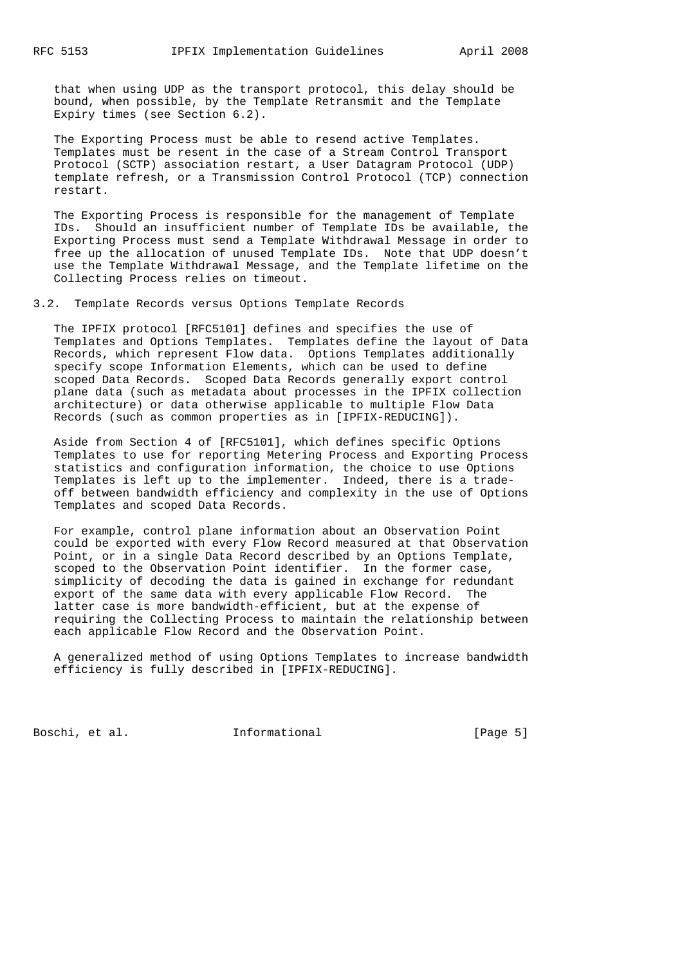that when using UDP as the transport protocol, this delay should be bound, when possible, by the Template Retransmit and the Template Expiry times (see Section 6.2).

 The Exporting Process must be able to resend active Templates. Templates must be resent in the case of a Stream Control Transport Protocol (SCTP) association restart, a User Datagram Protocol (UDP) template refresh, or a Transmission Control Protocol (TCP) connection restart.

 The Exporting Process is responsible for the management of Template IDs. Should an insufficient number of Template IDs be available, the Exporting Process must send a Template Withdrawal Message in order to free up the allocation of unused Template IDs. Note that UDP doesn't use the Template Withdrawal Message, and the Template lifetime on the Collecting Process relies on timeout.

3.2. Template Records versus Options Template Records

 The IPFIX protocol [RFC5101] defines and specifies the use of Templates and Options Templates. Templates define the layout of Data Records, which represent Flow data. Options Templates additionally specify scope Information Elements, which can be used to define scoped Data Records. Scoped Data Records generally export control plane data (such as metadata about processes in the IPFIX collection architecture) or data otherwise applicable to multiple Flow Data Records (such as common properties as in [IPFIX-REDUCING]).

 Aside from Section 4 of [RFC5101], which defines specific Options Templates to use for reporting Metering Process and Exporting Process statistics and configuration information, the choice to use Options Templates is left up to the implementer. Indeed, there is a trade off between bandwidth efficiency and complexity in the use of Options Templates and scoped Data Records.

 For example, control plane information about an Observation Point could be exported with every Flow Record measured at that Observation Point, or in a single Data Record described by an Options Template, scoped to the Observation Point identifier. In the former case, simplicity of decoding the data is gained in exchange for redundant export of the same data with every applicable Flow Record. The latter case is more bandwidth-efficient, but at the expense of requiring the Collecting Process to maintain the relationship between each applicable Flow Record and the Observation Point.

 A generalized method of using Options Templates to increase bandwidth efficiency is fully described in [IPFIX-REDUCING].

Boschi, et al. 1nformational [Page 5]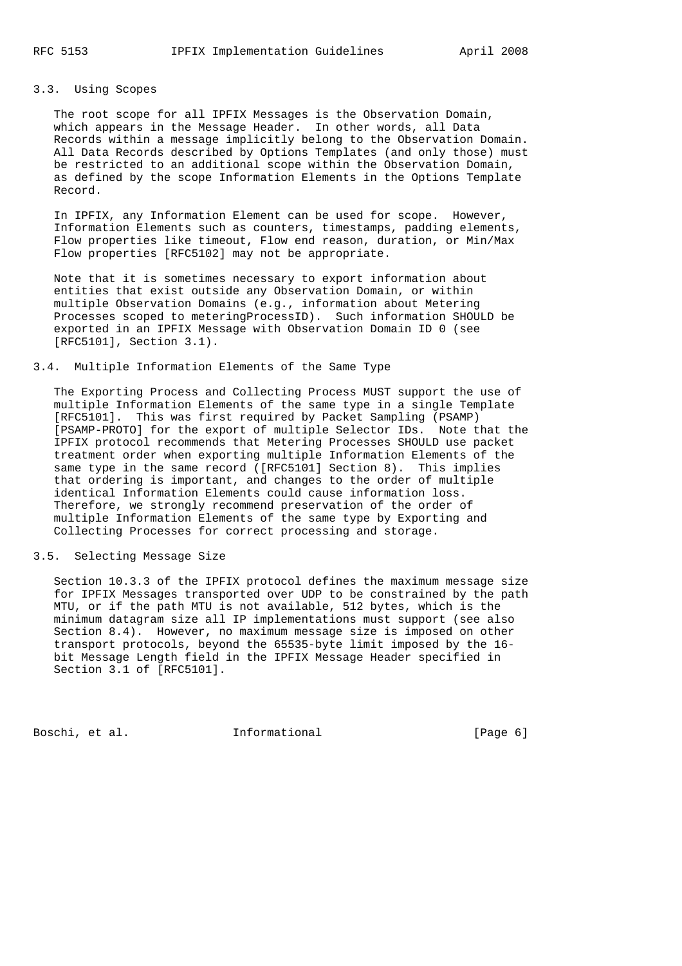# 3.3. Using Scopes

 The root scope for all IPFIX Messages is the Observation Domain, which appears in the Message Header. In other words, all Data Records within a message implicitly belong to the Observation Domain. All Data Records described by Options Templates (and only those) must be restricted to an additional scope within the Observation Domain, as defined by the scope Information Elements in the Options Template Record.

 In IPFIX, any Information Element can be used for scope. However, Information Elements such as counters, timestamps, padding elements, Flow properties like timeout, Flow end reason, duration, or Min/Max Flow properties [RFC5102] may not be appropriate.

 Note that it is sometimes necessary to export information about entities that exist outside any Observation Domain, or within multiple Observation Domains (e.g., information about Metering Processes scoped to meteringProcessID). Such information SHOULD be exported in an IPFIX Message with Observation Domain ID 0 (see [RFC5101], Section 3.1).

# 3.4. Multiple Information Elements of the Same Type

 The Exporting Process and Collecting Process MUST support the use of multiple Information Elements of the same type in a single Template [RFC5101]. This was first required by Packet Sampling (PSAMP) [PSAMP-PROTO] for the export of multiple Selector IDs. Note that the IPFIX protocol recommends that Metering Processes SHOULD use packet treatment order when exporting multiple Information Elements of the same type in the same record ([RFC5101] Section 8). This implies that ordering is important, and changes to the order of multiple identical Information Elements could cause information loss. Therefore, we strongly recommend preservation of the order of multiple Information Elements of the same type by Exporting and Collecting Processes for correct processing and storage.

#### 3.5. Selecting Message Size

 Section 10.3.3 of the IPFIX protocol defines the maximum message size for IPFIX Messages transported over UDP to be constrained by the path MTU, or if the path MTU is not available, 512 bytes, which is the minimum datagram size all IP implementations must support (see also Section 8.4). However, no maximum message size is imposed on other transport protocols, beyond the 65535-byte limit imposed by the 16 bit Message Length field in the IPFIX Message Header specified in Section 3.1 of [RFC5101].

Boschi, et al. 1nformational [Page 6]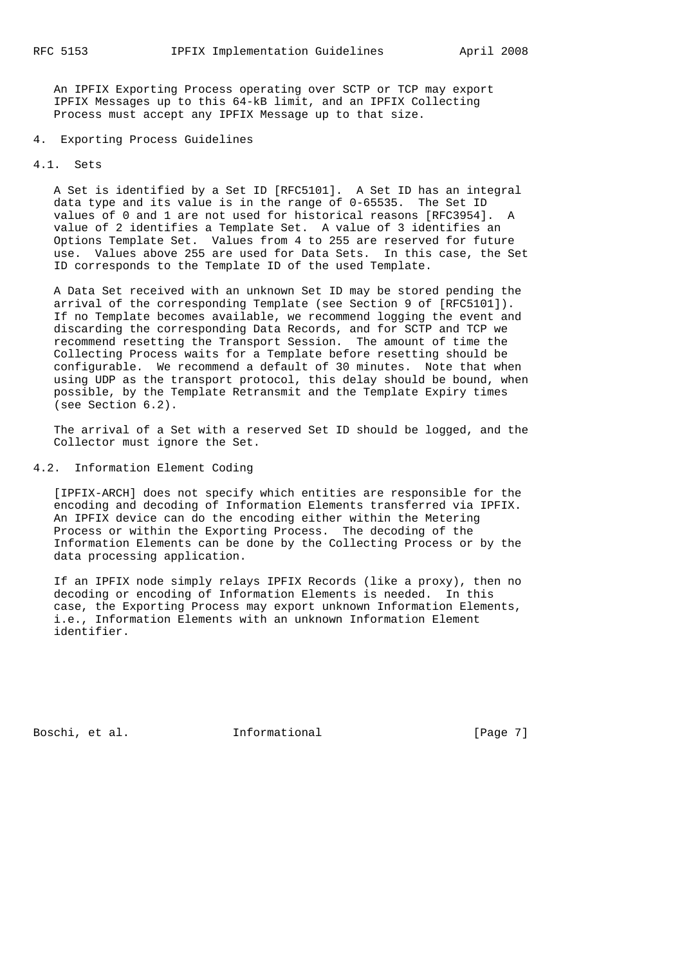An IPFIX Exporting Process operating over SCTP or TCP may export IPFIX Messages up to this 64-kB limit, and an IPFIX Collecting Process must accept any IPFIX Message up to that size.

# 4. Exporting Process Guidelines

### 4.1. Sets

 A Set is identified by a Set ID [RFC5101]. A Set ID has an integral data type and its value is in the range of 0-65535. The Set ID values of 0 and 1 are not used for historical reasons [RFC3954]. A value of 2 identifies a Template Set. A value of 3 identifies an Options Template Set. Values from 4 to 255 are reserved for future use. Values above 255 are used for Data Sets. In this case, the Set ID corresponds to the Template ID of the used Template.

 A Data Set received with an unknown Set ID may be stored pending the arrival of the corresponding Template (see Section 9 of [RFC5101]). If no Template becomes available, we recommend logging the event and discarding the corresponding Data Records, and for SCTP and TCP we recommend resetting the Transport Session. The amount of time the Collecting Process waits for a Template before resetting should be configurable. We recommend a default of 30 minutes. Note that when using UDP as the transport protocol, this delay should be bound, when possible, by the Template Retransmit and the Template Expiry times (see Section 6.2).

 The arrival of a Set with a reserved Set ID should be logged, and the Collector must ignore the Set.

# 4.2. Information Element Coding

 [IPFIX-ARCH] does not specify which entities are responsible for the encoding and decoding of Information Elements transferred via IPFIX. An IPFIX device can do the encoding either within the Metering Process or within the Exporting Process. The decoding of the Information Elements can be done by the Collecting Process or by the data processing application.

 If an IPFIX node simply relays IPFIX Records (like a proxy), then no decoding or encoding of Information Elements is needed. In this case, the Exporting Process may export unknown Information Elements, i.e., Information Elements with an unknown Information Element identifier.

Boschi, et al. 1nformational 1998 [Page 7]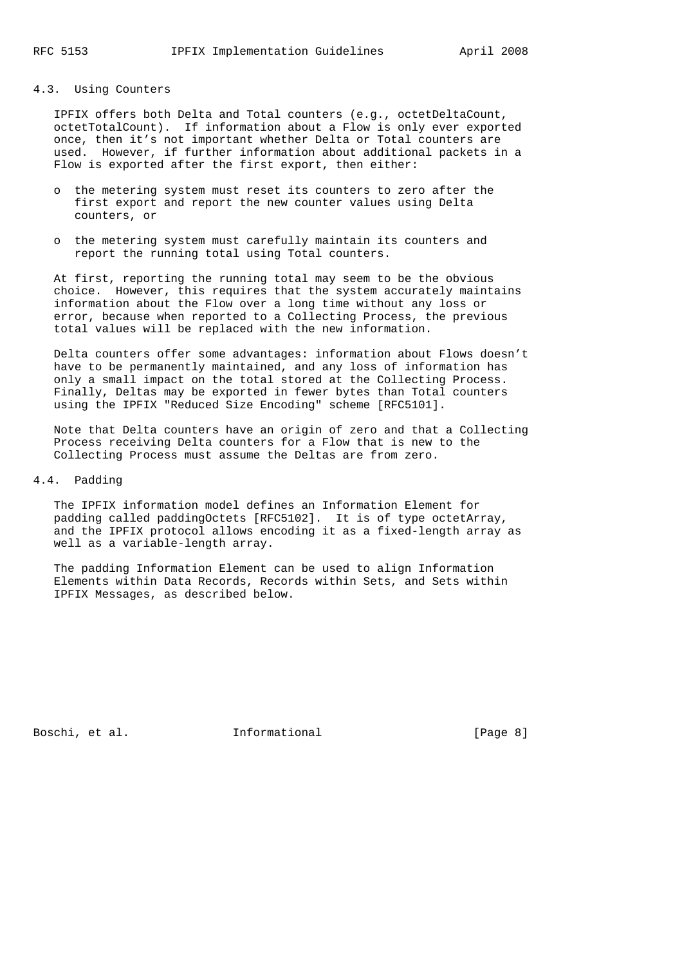# 4.3. Using Counters

 IPFIX offers both Delta and Total counters (e.g., octetDeltaCount, octetTotalCount). If information about a Flow is only ever exported once, then it's not important whether Delta or Total counters are used. However, if further information about additional packets in a Flow is exported after the first export, then either:

- o the metering system must reset its counters to zero after the first export and report the new counter values using Delta counters, or
- o the metering system must carefully maintain its counters and report the running total using Total counters.

 At first, reporting the running total may seem to be the obvious choice. However, this requires that the system accurately maintains information about the Flow over a long time without any loss or error, because when reported to a Collecting Process, the previous total values will be replaced with the new information.

 Delta counters offer some advantages: information about Flows doesn't have to be permanently maintained, and any loss of information has only a small impact on the total stored at the Collecting Process. Finally, Deltas may be exported in fewer bytes than Total counters using the IPFIX "Reduced Size Encoding" scheme [RFC5101].

 Note that Delta counters have an origin of zero and that a Collecting Process receiving Delta counters for a Flow that is new to the Collecting Process must assume the Deltas are from zero.

### 4.4. Padding

 The IPFIX information model defines an Information Element for padding called paddingOctets [RFC5102]. It is of type octetArray, and the IPFIX protocol allows encoding it as a fixed-length array as well as a variable-length array.

 The padding Information Element can be used to align Information Elements within Data Records, Records within Sets, and Sets within IPFIX Messages, as described below.

Boschi, et al. 1nformational [Page 8]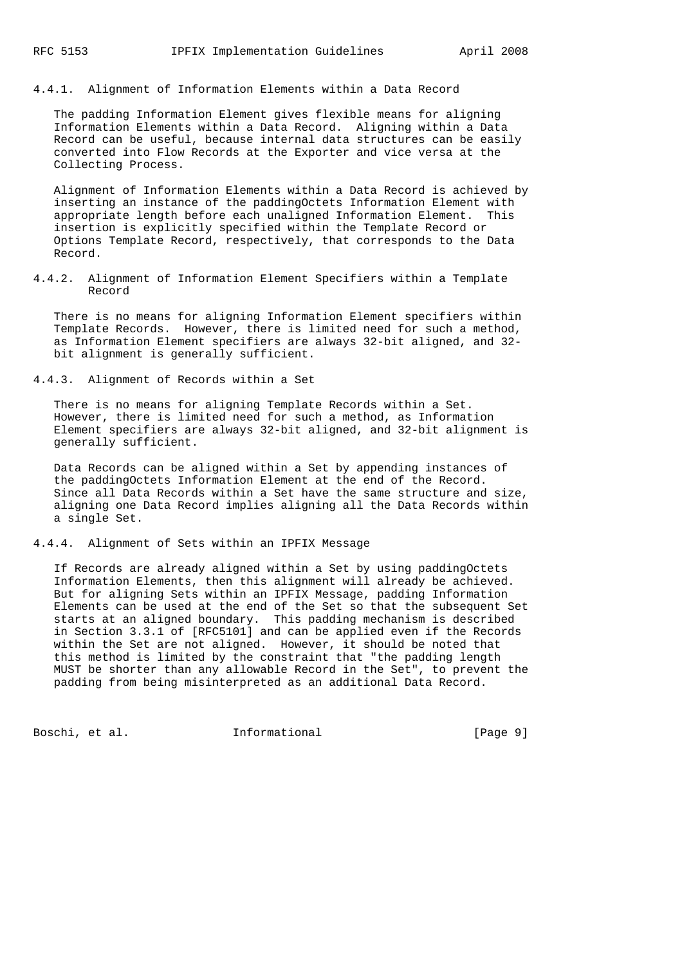4.4.1. Alignment of Information Elements within a Data Record

 The padding Information Element gives flexible means for aligning Information Elements within a Data Record. Aligning within a Data Record can be useful, because internal data structures can be easily converted into Flow Records at the Exporter and vice versa at the Collecting Process.

 Alignment of Information Elements within a Data Record is achieved by inserting an instance of the paddingOctets Information Element with appropriate length before each unaligned Information Element. This insertion is explicitly specified within the Template Record or Options Template Record, respectively, that corresponds to the Data Record.

4.4.2. Alignment of Information Element Specifiers within a Template Record

 There is no means for aligning Information Element specifiers within Template Records. However, there is limited need for such a method, as Information Element specifiers are always 32-bit aligned, and 32 bit alignment is generally sufficient.

4.4.3. Alignment of Records within a Set

 There is no means for aligning Template Records within a Set. However, there is limited need for such a method, as Information Element specifiers are always 32-bit aligned, and 32-bit alignment is generally sufficient.

 Data Records can be aligned within a Set by appending instances of the paddingOctets Information Element at the end of the Record. Since all Data Records within a Set have the same structure and size, aligning one Data Record implies aligning all the Data Records within a single Set.

4.4.4. Alignment of Sets within an IPFIX Message

 If Records are already aligned within a Set by using paddingOctets Information Elements, then this alignment will already be achieved. But for aligning Sets within an IPFIX Message, padding Information Elements can be used at the end of the Set so that the subsequent Set starts at an aligned boundary. This padding mechanism is described in Section 3.3.1 of [RFC5101] and can be applied even if the Records within the Set are not aligned. However, it should be noted that this method is limited by the constraint that "the padding length MUST be shorter than any allowable Record in the Set", to prevent the padding from being misinterpreted as an additional Data Record.

Boschi, et al. 1nformational 1999 [Page 9]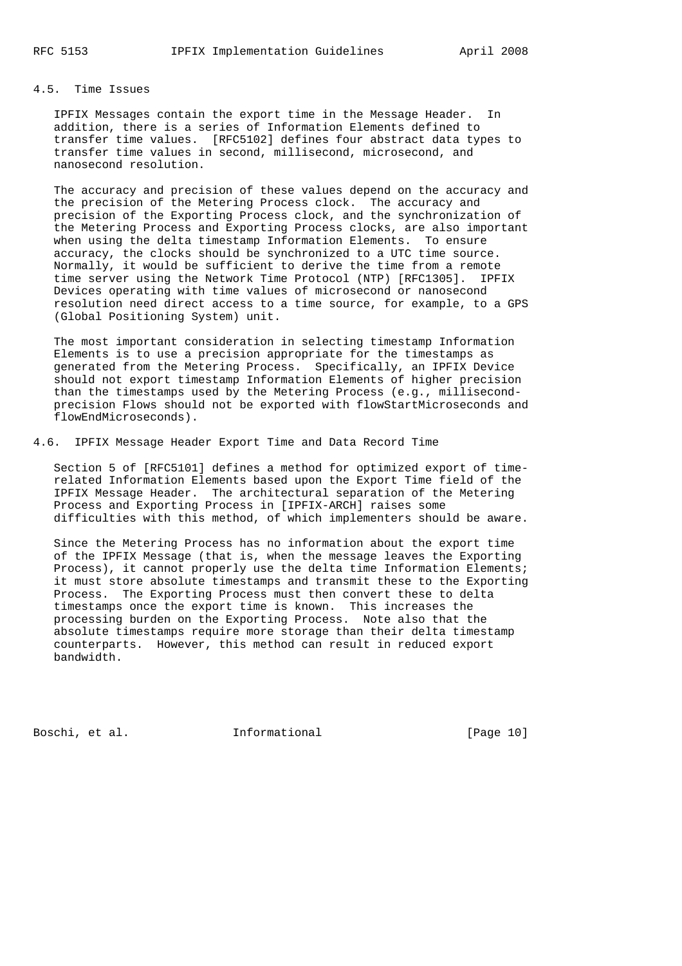# 4.5. Time Issues

 IPFIX Messages contain the export time in the Message Header. In addition, there is a series of Information Elements defined to transfer time values. [RFC5102] defines four abstract data types to transfer time values in second, millisecond, microsecond, and nanosecond resolution.

 The accuracy and precision of these values depend on the accuracy and the precision of the Metering Process clock. The accuracy and precision of the Exporting Process clock, and the synchronization of the Metering Process and Exporting Process clocks, are also important when using the delta timestamp Information Elements. To ensure accuracy, the clocks should be synchronized to a UTC time source. Normally, it would be sufficient to derive the time from a remote time server using the Network Time Protocol (NTP) [RFC1305]. IPFIX Devices operating with time values of microsecond or nanosecond resolution need direct access to a time source, for example, to a GPS (Global Positioning System) unit.

 The most important consideration in selecting timestamp Information Elements is to use a precision appropriate for the timestamps as generated from the Metering Process. Specifically, an IPFIX Device should not export timestamp Information Elements of higher precision than the timestamps used by the Metering Process (e.g., millisecond precision Flows should not be exported with flowStartMicroseconds and flowEndMicroseconds).

4.6. IPFIX Message Header Export Time and Data Record Time

 Section 5 of [RFC5101] defines a method for optimized export of time related Information Elements based upon the Export Time field of the IPFIX Message Header. The architectural separation of the Metering Process and Exporting Process in [IPFIX-ARCH] raises some difficulties with this method, of which implementers should be aware.

 Since the Metering Process has no information about the export time of the IPFIX Message (that is, when the message leaves the Exporting Process), it cannot properly use the delta time Information Elements; it must store absolute timestamps and transmit these to the Exporting Process. The Exporting Process must then convert these to delta timestamps once the export time is known. This increases the processing burden on the Exporting Process. Note also that the absolute timestamps require more storage than their delta timestamp counterparts. However, this method can result in reduced export bandwidth.

Boschi, et al. 1nformational [Page 10]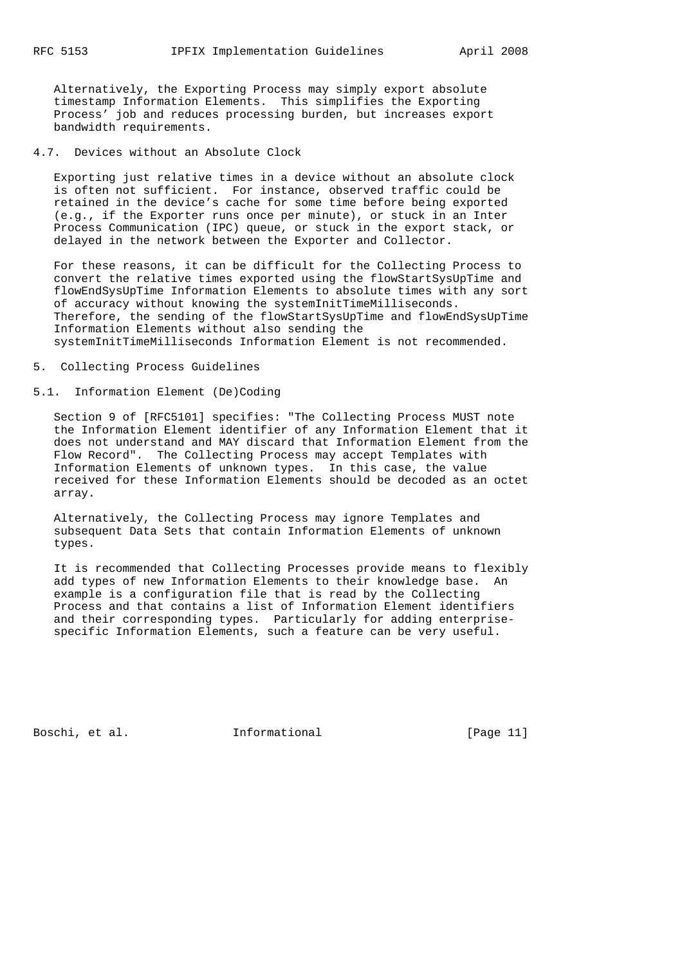Alternatively, the Exporting Process may simply export absolute timestamp Information Elements. This simplifies the Exporting Process' job and reduces processing burden, but increases export bandwidth requirements.

4.7. Devices without an Absolute Clock

 Exporting just relative times in a device without an absolute clock is often not sufficient. For instance, observed traffic could be retained in the device's cache for some time before being exported (e.g., if the Exporter runs once per minute), or stuck in an Inter Process Communication (IPC) queue, or stuck in the export stack, or delayed in the network between the Exporter and Collector.

 For these reasons, it can be difficult for the Collecting Process to convert the relative times exported using the flowStartSysUpTime and flowEndSysUpTime Information Elements to absolute times with any sort of accuracy without knowing the systemInitTimeMilliseconds. Therefore, the sending of the flowStartSysUpTime and flowEndSysUpTime Information Elements without also sending the systemInitTimeMilliseconds Information Element is not recommended.

5. Collecting Process Guidelines

# 5.1. Information Element (De)Coding

 Section 9 of [RFC5101] specifies: "The Collecting Process MUST note the Information Element identifier of any Information Element that it does not understand and MAY discard that Information Element from the Flow Record". The Collecting Process may accept Templates with Information Elements of unknown types. In this case, the value received for these Information Elements should be decoded as an octet array.

 Alternatively, the Collecting Process may ignore Templates and subsequent Data Sets that contain Information Elements of unknown types.

 It is recommended that Collecting Processes provide means to flexibly add types of new Information Elements to their knowledge base. An example is a configuration file that is read by the Collecting Process and that contains a list of Information Element identifiers and their corresponding types. Particularly for adding enterprise specific Information Elements, such a feature can be very useful.

Boschi, et al. 1nformational [Page 11]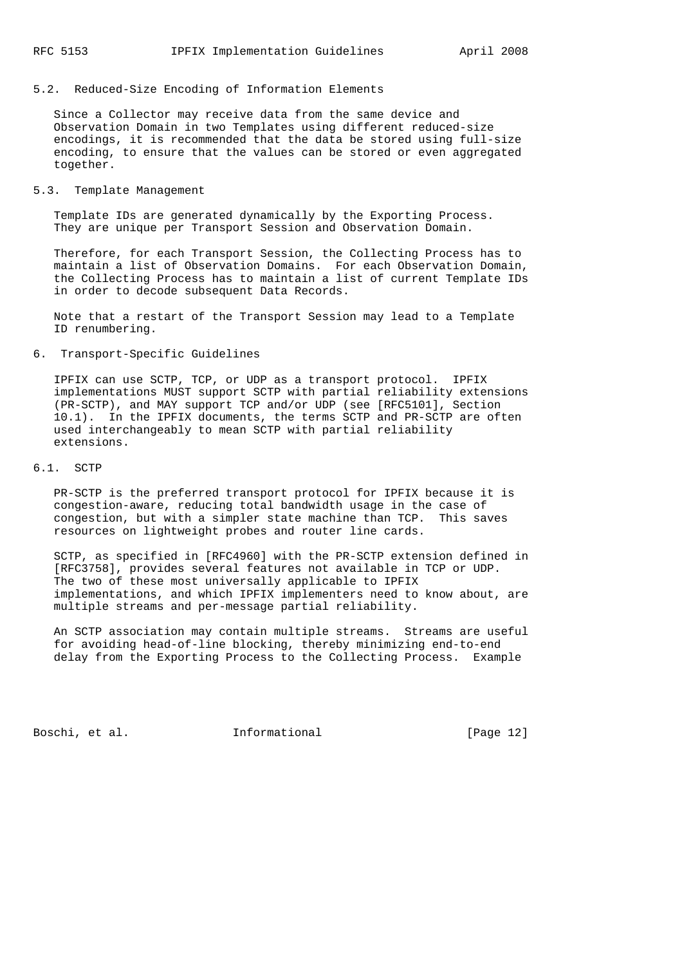# 5.2. Reduced-Size Encoding of Information Elements

 Since a Collector may receive data from the same device and Observation Domain in two Templates using different reduced-size encodings, it is recommended that the data be stored using full-size encoding, to ensure that the values can be stored or even aggregated together.

### 5.3. Template Management

 Template IDs are generated dynamically by the Exporting Process. They are unique per Transport Session and Observation Domain.

 Therefore, for each Transport Session, the Collecting Process has to maintain a list of Observation Domains. For each Observation Domain, the Collecting Process has to maintain a list of current Template IDs in order to decode subsequent Data Records.

 Note that a restart of the Transport Session may lead to a Template ID renumbering.

# 6. Transport-Specific Guidelines

 IPFIX can use SCTP, TCP, or UDP as a transport protocol. IPFIX implementations MUST support SCTP with partial reliability extensions (PR-SCTP), and MAY support TCP and/or UDP (see [RFC5101], Section 10.1). In the IPFIX documents, the terms SCTP and PR-SCTP are often used interchangeably to mean SCTP with partial reliability extensions.

#### 6.1. SCTP

 PR-SCTP is the preferred transport protocol for IPFIX because it is congestion-aware, reducing total bandwidth usage in the case of congestion, but with a simpler state machine than TCP. This saves resources on lightweight probes and router line cards.

 SCTP, as specified in [RFC4960] with the PR-SCTP extension defined in [RFC3758], provides several features not available in TCP or UDP. The two of these most universally applicable to IPFIX implementations, and which IPFIX implementers need to know about, are multiple streams and per-message partial reliability.

 An SCTP association may contain multiple streams. Streams are useful for avoiding head-of-line blocking, thereby minimizing end-to-end delay from the Exporting Process to the Collecting Process. Example

Boschi, et al. 1nformational [Page 12]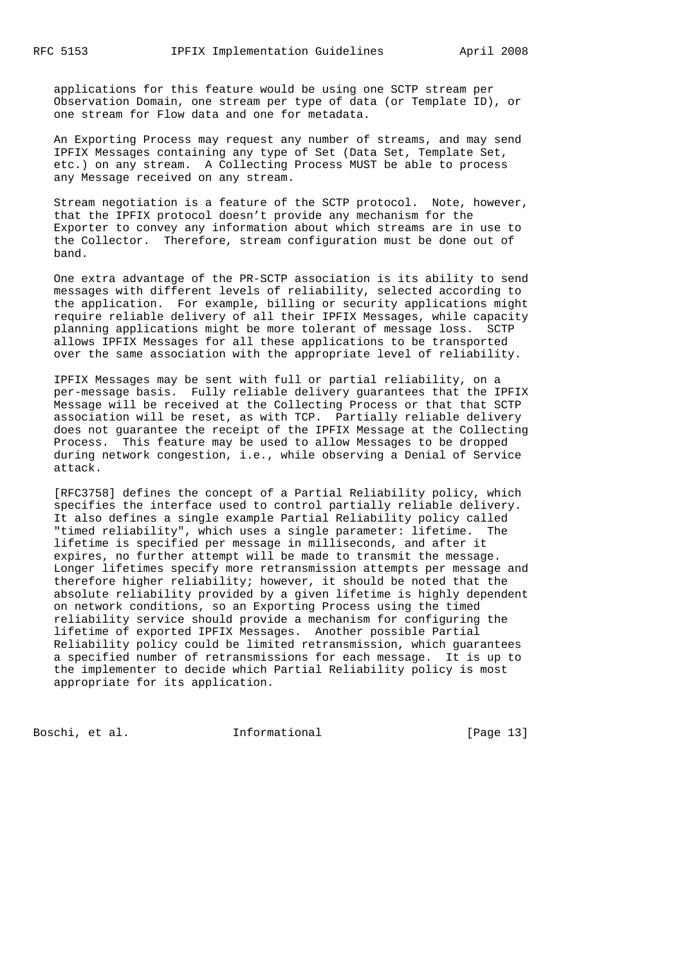applications for this feature would be using one SCTP stream per Observation Domain, one stream per type of data (or Template ID), or one stream for Flow data and one for metadata.

 An Exporting Process may request any number of streams, and may send IPFIX Messages containing any type of Set (Data Set, Template Set, etc.) on any stream. A Collecting Process MUST be able to process any Message received on any stream.

 Stream negotiation is a feature of the SCTP protocol. Note, however, that the IPFIX protocol doesn't provide any mechanism for the Exporter to convey any information about which streams are in use to the Collector. Therefore, stream configuration must be done out of band.

 One extra advantage of the PR-SCTP association is its ability to send messages with different levels of reliability, selected according to the application. For example, billing or security applications might require reliable delivery of all their IPFIX Messages, while capacity planning applications might be more tolerant of message loss. SCTP allows IPFIX Messages for all these applications to be transported over the same association with the appropriate level of reliability.

 IPFIX Messages may be sent with full or partial reliability, on a per-message basis. Fully reliable delivery guarantees that the IPFIX Message will be received at the Collecting Process or that that SCTP association will be reset, as with TCP. Partially reliable delivery does not guarantee the receipt of the IPFIX Message at the Collecting Process. This feature may be used to allow Messages to be dropped during network congestion, i.e., while observing a Denial of Service attack.

 [RFC3758] defines the concept of a Partial Reliability policy, which specifies the interface used to control partially reliable delivery. It also defines a single example Partial Reliability policy called "timed reliability", which uses a single parameter: lifetime. The lifetime is specified per message in milliseconds, and after it expires, no further attempt will be made to transmit the message. Longer lifetimes specify more retransmission attempts per message and therefore higher reliability; however, it should be noted that the absolute reliability provided by a given lifetime is highly dependent on network conditions, so an Exporting Process using the timed reliability service should provide a mechanism for configuring the lifetime of exported IPFIX Messages. Another possible Partial Reliability policy could be limited retransmission, which guarantees a specified number of retransmissions for each message. It is up to the implementer to decide which Partial Reliability policy is most appropriate for its application.

Boschi, et al. **Informational** [Page 13]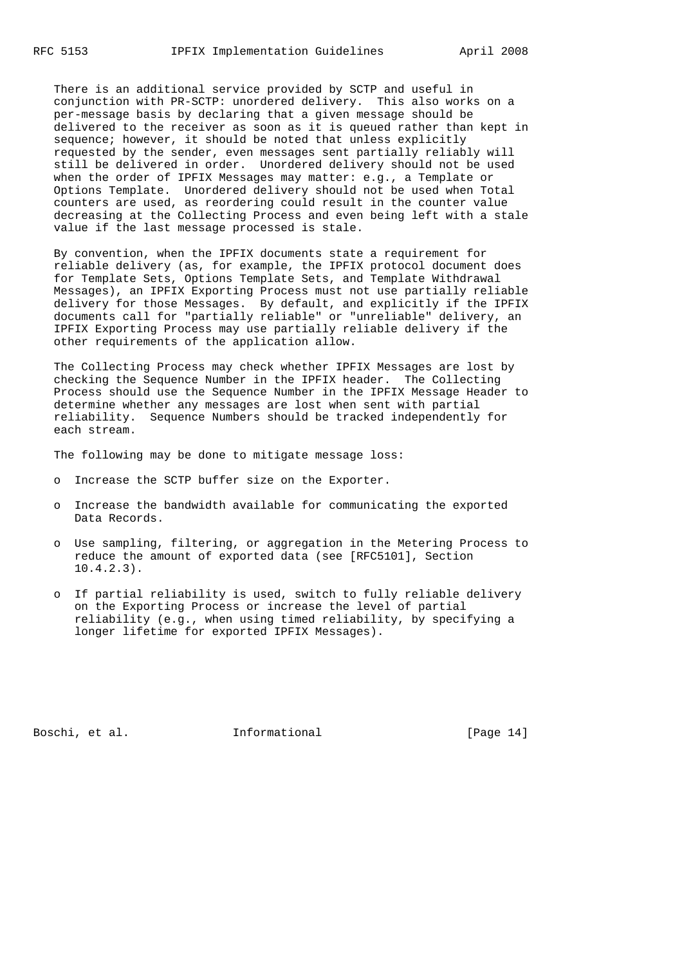There is an additional service provided by SCTP and useful in conjunction with PR-SCTP: unordered delivery. This also works on a per-message basis by declaring that a given message should be delivered to the receiver as soon as it is queued rather than kept in sequence; however, it should be noted that unless explicitly requested by the sender, even messages sent partially reliably will still be delivered in order. Unordered delivery should not be used when the order of IPFIX Messages may matter: e.g., a Template or Options Template. Unordered delivery should not be used when Total counters are used, as reordering could result in the counter value decreasing at the Collecting Process and even being left with a stale value if the last message processed is stale.

 By convention, when the IPFIX documents state a requirement for reliable delivery (as, for example, the IPFIX protocol document does for Template Sets, Options Template Sets, and Template Withdrawal Messages), an IPFIX Exporting Process must not use partially reliable delivery for those Messages. By default, and explicitly if the IPFIX documents call for "partially reliable" or "unreliable" delivery, an IPFIX Exporting Process may use partially reliable delivery if the other requirements of the application allow.

 The Collecting Process may check whether IPFIX Messages are lost by checking the Sequence Number in the IPFIX header. The Collecting Process should use the Sequence Number in the IPFIX Message Header to determine whether any messages are lost when sent with partial reliability. Sequence Numbers should be tracked independently for each stream.

The following may be done to mitigate message loss:

- o Increase the SCTP buffer size on the Exporter.
- o Increase the bandwidth available for communicating the exported Data Records.
- o Use sampling, filtering, or aggregation in the Metering Process to reduce the amount of exported data (see [RFC5101], Section 10.4.2.3).
- o If partial reliability is used, switch to fully reliable delivery on the Exporting Process or increase the level of partial reliability (e.g., when using timed reliability, by specifying a longer lifetime for exported IPFIX Messages).

Boschi, et al. 1nformational [Page 14]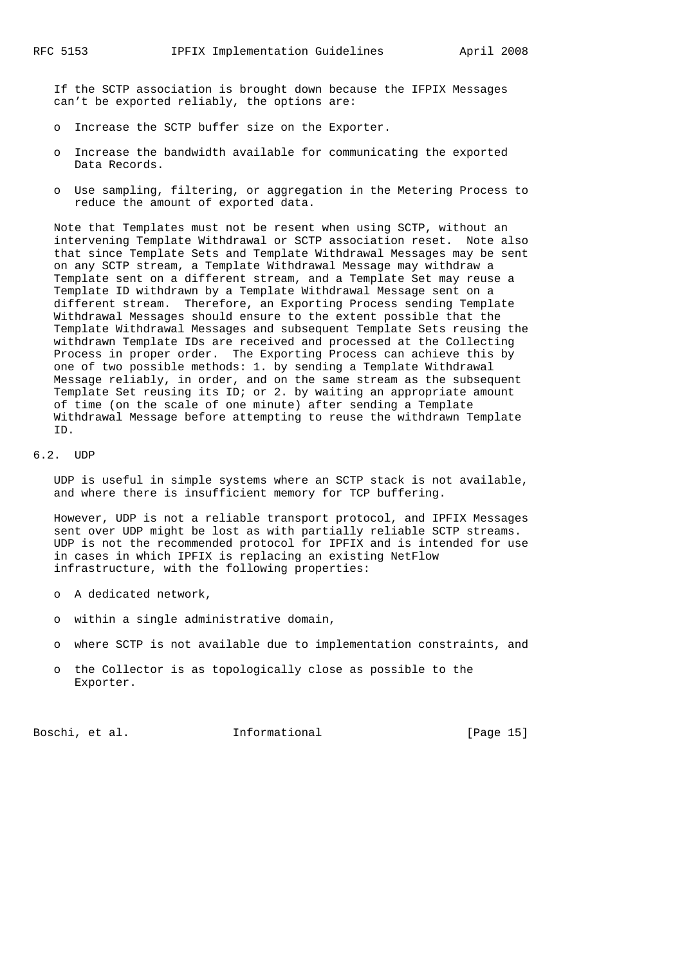If the SCTP association is brought down because the IFPIX Messages can't be exported reliably, the options are:

- o Increase the SCTP buffer size on the Exporter.
- o Increase the bandwidth available for communicating the exported Data Records.
- o Use sampling, filtering, or aggregation in the Metering Process to reduce the amount of exported data.

 Note that Templates must not be resent when using SCTP, without an intervening Template Withdrawal or SCTP association reset. Note also that since Template Sets and Template Withdrawal Messages may be sent on any SCTP stream, a Template Withdrawal Message may withdraw a Template sent on a different stream, and a Template Set may reuse a Template ID withdrawn by a Template Withdrawal Message sent on a different stream. Therefore, an Exporting Process sending Template Withdrawal Messages should ensure to the extent possible that the Template Withdrawal Messages and subsequent Template Sets reusing the withdrawn Template IDs are received and processed at the Collecting Process in proper order. The Exporting Process can achieve this by one of two possible methods: 1. by sending a Template Withdrawal Message reliably, in order, and on the same stream as the subsequent Template Set reusing its ID; or 2. by waiting an appropriate amount of time (on the scale of one minute) after sending a Template Withdrawal Message before attempting to reuse the withdrawn Template ID.

#### 6.2. UDP

 UDP is useful in simple systems where an SCTP stack is not available, and where there is insufficient memory for TCP buffering.

 However, UDP is not a reliable transport protocol, and IPFIX Messages sent over UDP might be lost as with partially reliable SCTP streams. UDP is not the recommended protocol for IPFIX and is intended for use in cases in which IPFIX is replacing an existing NetFlow infrastructure, with the following properties:

- o A dedicated network,
- o within a single administrative domain,
- o where SCTP is not available due to implementation constraints, and
- o the Collector is as topologically close as possible to the Exporter.

Boschi, et al. 1nformational [Page 15]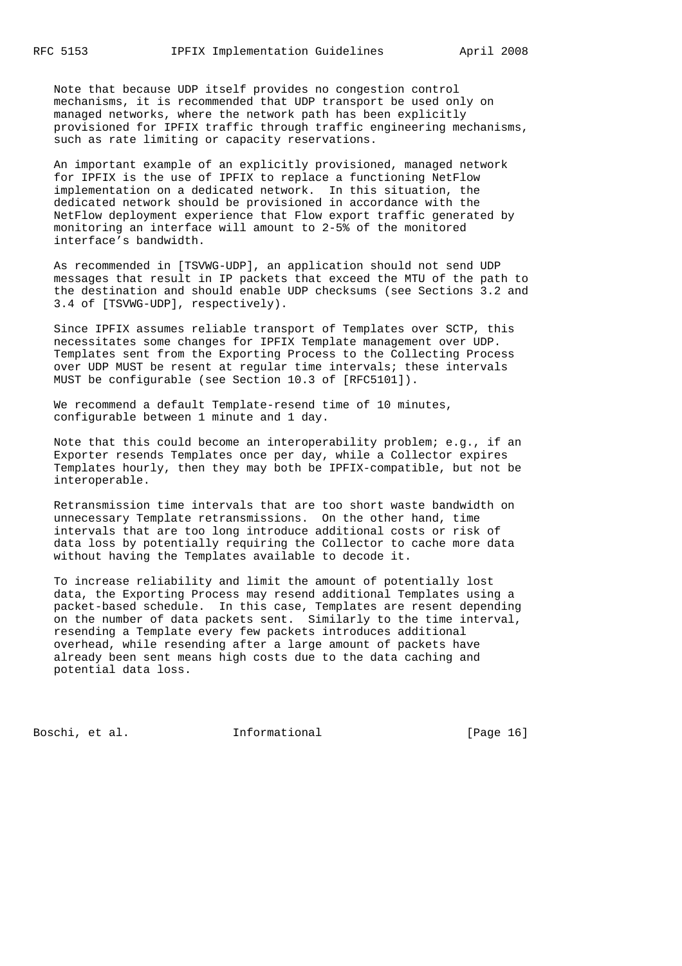Note that because UDP itself provides no congestion control mechanisms, it is recommended that UDP transport be used only on managed networks, where the network path has been explicitly provisioned for IPFIX traffic through traffic engineering mechanisms, such as rate limiting or capacity reservations.

 An important example of an explicitly provisioned, managed network for IPFIX is the use of IPFIX to replace a functioning NetFlow implementation on a dedicated network. In this situation, the dedicated network should be provisioned in accordance with the NetFlow deployment experience that Flow export traffic generated by monitoring an interface will amount to 2-5% of the monitored interface's bandwidth.

 As recommended in [TSVWG-UDP], an application should not send UDP messages that result in IP packets that exceed the MTU of the path to the destination and should enable UDP checksums (see Sections 3.2 and 3.4 of [TSVWG-UDP], respectively).

 Since IPFIX assumes reliable transport of Templates over SCTP, this necessitates some changes for IPFIX Template management over UDP. Templates sent from the Exporting Process to the Collecting Process over UDP MUST be resent at regular time intervals; these intervals MUST be configurable (see Section 10.3 of [RFC5101]).

We recommend a default Template-resend time of 10 minutes, configurable between 1 minute and 1 day.

 Note that this could become an interoperability problem; e.g., if an Exporter resends Templates once per day, while a Collector expires Templates hourly, then they may both be IPFIX-compatible, but not be interoperable.

 Retransmission time intervals that are too short waste bandwidth on unnecessary Template retransmissions. On the other hand, time intervals that are too long introduce additional costs or risk of data loss by potentially requiring the Collector to cache more data without having the Templates available to decode it.

 To increase reliability and limit the amount of potentially lost data, the Exporting Process may resend additional Templates using a packet-based schedule. In this case, Templates are resent depending on the number of data packets sent. Similarly to the time interval, resending a Template every few packets introduces additional overhead, while resending after a large amount of packets have already been sent means high costs due to the data caching and potential data loss.

Boschi, et al. 1nformational [Page 16]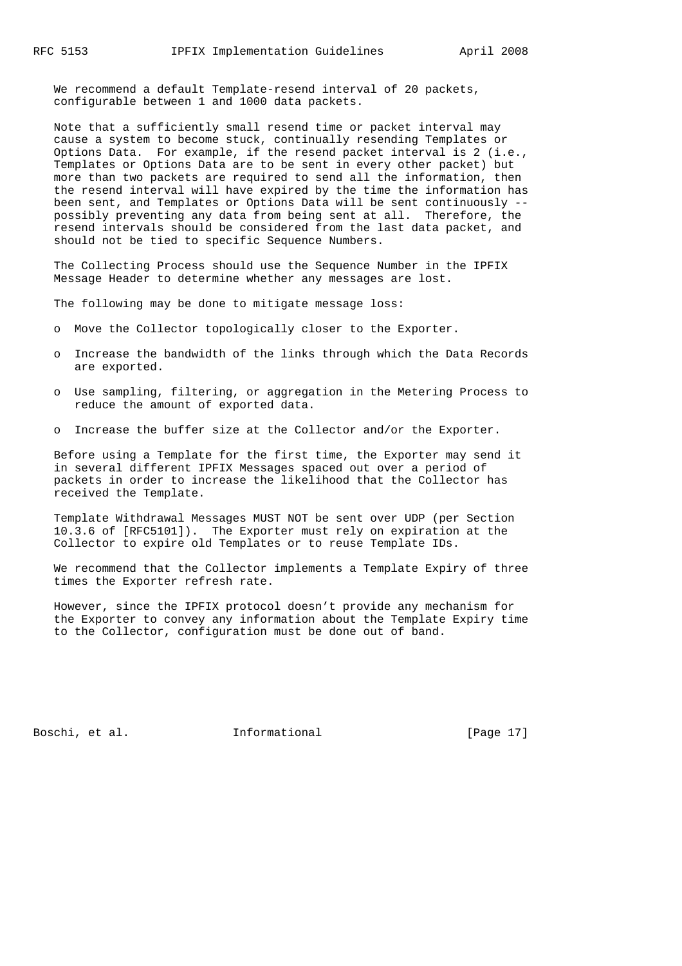We recommend a default Template-resend interval of 20 packets, configurable between 1 and 1000 data packets.

 Note that a sufficiently small resend time or packet interval may cause a system to become stuck, continually resending Templates or Options Data. For example, if the resend packet interval is 2 (i.e., Templates or Options Data are to be sent in every other packet) but more than two packets are required to send all the information, then the resend interval will have expired by the time the information has been sent, and Templates or Options Data will be sent continuously - possibly preventing any data from being sent at all. Therefore, the resend intervals should be considered from the last data packet, and should not be tied to specific Sequence Numbers.

 The Collecting Process should use the Sequence Number in the IPFIX Message Header to determine whether any messages are lost.

The following may be done to mitigate message loss:

- o Move the Collector topologically closer to the Exporter.
- o Increase the bandwidth of the links through which the Data Records are exported.
- o Use sampling, filtering, or aggregation in the Metering Process to reduce the amount of exported data.
- o Increase the buffer size at the Collector and/or the Exporter.

 Before using a Template for the first time, the Exporter may send it in several different IPFIX Messages spaced out over a period of packets in order to increase the likelihood that the Collector has received the Template.

 Template Withdrawal Messages MUST NOT be sent over UDP (per Section 10.3.6 of [RFC5101]). The Exporter must rely on expiration at the Collector to expire old Templates or to reuse Template IDs.

 We recommend that the Collector implements a Template Expiry of three times the Exporter refresh rate.

 However, since the IPFIX protocol doesn't provide any mechanism for the Exporter to convey any information about the Template Expiry time to the Collector, configuration must be done out of band.

Boschi, et al. 1nformational [Page 17]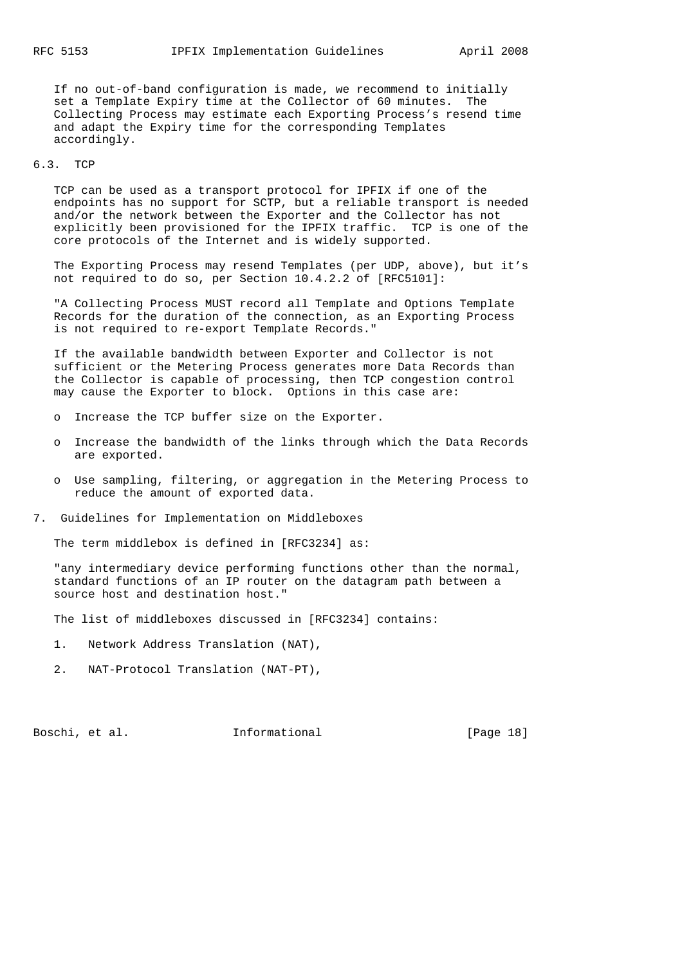If no out-of-band configuration is made, we recommend to initially set a Template Expiry time at the Collector of 60 minutes. The Collecting Process may estimate each Exporting Process's resend time and adapt the Expiry time for the corresponding Templates accordingly.

#### 6.3. TCP

 TCP can be used as a transport protocol for IPFIX if one of the endpoints has no support for SCTP, but a reliable transport is needed and/or the network between the Exporter and the Collector has not explicitly been provisioned for the IPFIX traffic. TCP is one of the core protocols of the Internet and is widely supported.

 The Exporting Process may resend Templates (per UDP, above), but it's not required to do so, per Section 10.4.2.2 of [RFC5101]:

 "A Collecting Process MUST record all Template and Options Template Records for the duration of the connection, as an Exporting Process is not required to re-export Template Records."

 If the available bandwidth between Exporter and Collector is not sufficient or the Metering Process generates more Data Records than the Collector is capable of processing, then TCP congestion control may cause the Exporter to block. Options in this case are:

- o Increase the TCP buffer size on the Exporter.
- o Increase the bandwidth of the links through which the Data Records are exported.
- o Use sampling, filtering, or aggregation in the Metering Process to reduce the amount of exported data.
- 7. Guidelines for Implementation on Middleboxes

The term middlebox is defined in [RFC3234] as:

 "any intermediary device performing functions other than the normal, standard functions of an IP router on the datagram path between a source host and destination host."

The list of middleboxes discussed in [RFC3234] contains:

- 1. Network Address Translation (NAT),
- 2. NAT-Protocol Translation (NAT-PT),

Boschi, et al. 1nformational [Page 18]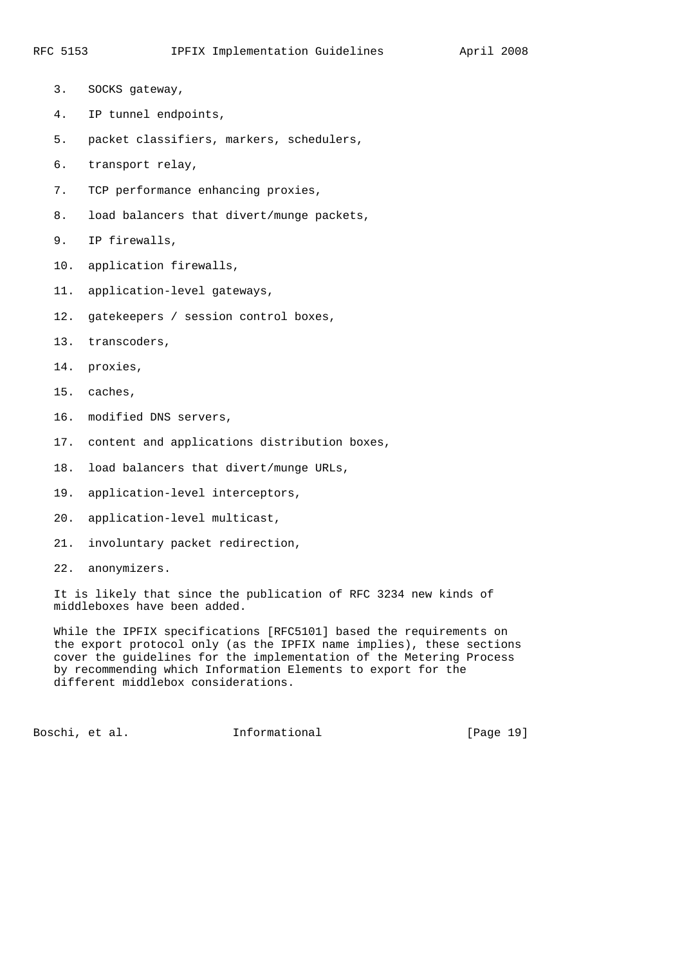- 3. SOCKS gateway,
- 4. IP tunnel endpoints,
- 5. packet classifiers, markers, schedulers,
- 6. transport relay,
- 7. TCP performance enhancing proxies,
- 8. load balancers that divert/munge packets,
- 9. IP firewalls,
- 10. application firewalls,
- 11. application-level gateways,
- 12. gatekeepers / session control boxes,
- 13. transcoders,
- 14. proxies,
- 15. caches,
- 16. modified DNS servers,
- 17. content and applications distribution boxes,
- 18. load balancers that divert/munge URLs,
- 19. application-level interceptors,
- 20. application-level multicast,
- 21. involuntary packet redirection,
- 22. anonymizers.

 It is likely that since the publication of RFC 3234 new kinds of middleboxes have been added.

 While the IPFIX specifications [RFC5101] based the requirements on the export protocol only (as the IPFIX name implies), these sections cover the guidelines for the implementation of the Metering Process by recommending which Information Elements to export for the different middlebox considerations.

Boschi, et al. 1nformational [Page 19]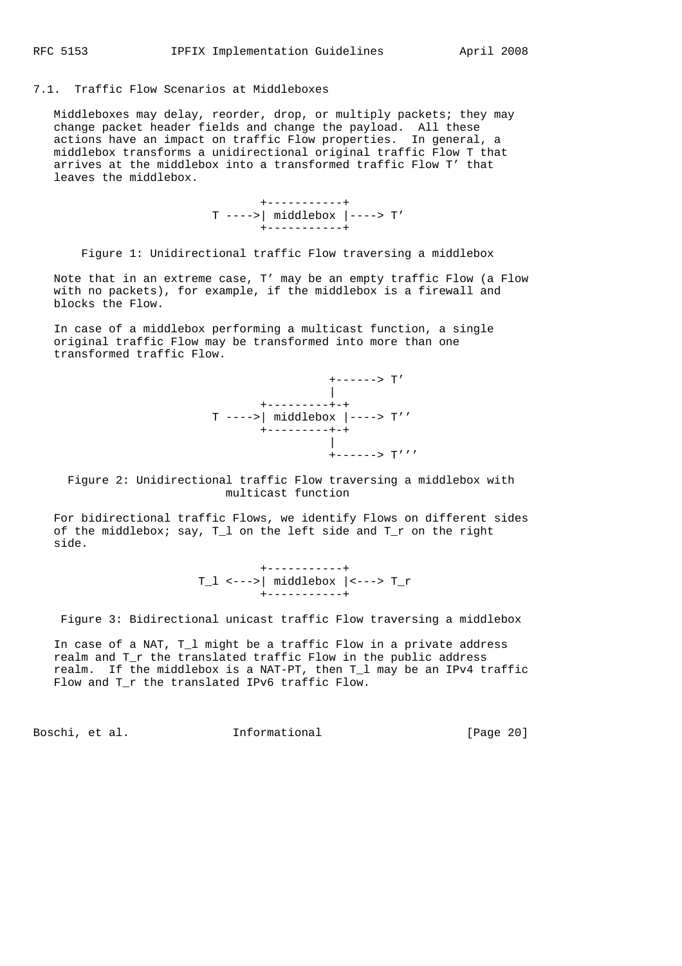### 7.1. Traffic Flow Scenarios at Middleboxes

 Middleboxes may delay, reorder, drop, or multiply packets; they may change packet header fields and change the payload. All these actions have an impact on traffic Flow properties. In general, a middlebox transforms a unidirectional original traffic Flow T that arrives at the middlebox into a transformed traffic Flow T' that leaves the middlebox.

> +-----------+ T ---->| middlebox |----> T' +-----------+

Figure 1: Unidirectional traffic Flow traversing a middlebox

 Note that in an extreme case, T' may be an empty traffic Flow (a Flow with no packets), for example, if the middlebox is a firewall and blocks the Flow.

 In case of a middlebox performing a multicast function, a single original traffic Flow may be transformed into more than one transformed traffic Flow.



 Figure 2: Unidirectional traffic Flow traversing a middlebox with multicast function

 For bidirectional traffic Flows, we identify Flows on different sides of the middlebox; say, T\_l on the left side and T\_r on the right side.

 +-----------+ T\_l <--->| middlebox |<---> T\_r +-----------+

Figure 3: Bidirectional unicast traffic Flow traversing a middlebox

 In case of a NAT, T\_l might be a traffic Flow in a private address realm and T\_r the translated traffic Flow in the public address realm. If the middlebox is a NAT-PT, then T\_l may be an IPv4 traffic Flow and T\_r the translated IPv6 traffic Flow.

Boschi, et al. **Informational** [Page 20]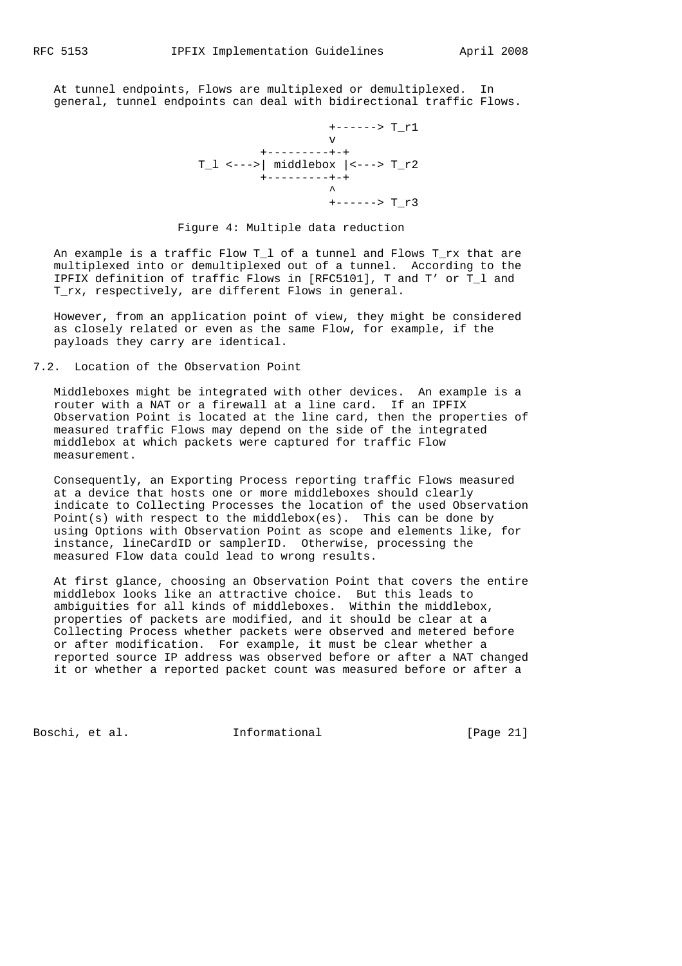At tunnel endpoints, Flows are multiplexed or demultiplexed. In general, tunnel endpoints can deal with bidirectional traffic Flows.

```
 +------> T_r1
 v
                  +---------+-+
             T_l < - - -> | middlebox | <---> T_r2
                 +---------+-+
 ^
                        +------> T_r3
```
### Figure 4: Multiple data reduction

 An example is a traffic Flow T\_l of a tunnel and Flows T\_rx that are multiplexed into or demultiplexed out of a tunnel. According to the IPFIX definition of traffic Flows in [RFC5101], T and T' or T\_l and T\_rx, respectively, are different Flows in general.

 However, from an application point of view, they might be considered as closely related or even as the same Flow, for example, if the payloads they carry are identical.

# 7.2. Location of the Observation Point

 Middleboxes might be integrated with other devices. An example is a router with a NAT or a firewall at a line card. If an IPFIX Observation Point is located at the line card, then the properties of measured traffic Flows may depend on the side of the integrated middlebox at which packets were captured for traffic Flow measurement.

 Consequently, an Exporting Process reporting traffic Flows measured at a device that hosts one or more middleboxes should clearly indicate to Collecting Processes the location of the used Observation Point(s) with respect to the middlebox(es). This can be done by using Options with Observation Point as scope and elements like, for instance, lineCardID or samplerID. Otherwise, processing the measured Flow data could lead to wrong results.

 At first glance, choosing an Observation Point that covers the entire middlebox looks like an attractive choice. But this leads to ambiguities for all kinds of middleboxes. Within the middlebox, properties of packets are modified, and it should be clear at a Collecting Process whether packets were observed and metered before or after modification. For example, it must be clear whether a reported source IP address was observed before or after a NAT changed it or whether a reported packet count was measured before or after a

Boschi, et al. 1nformational [Page 21]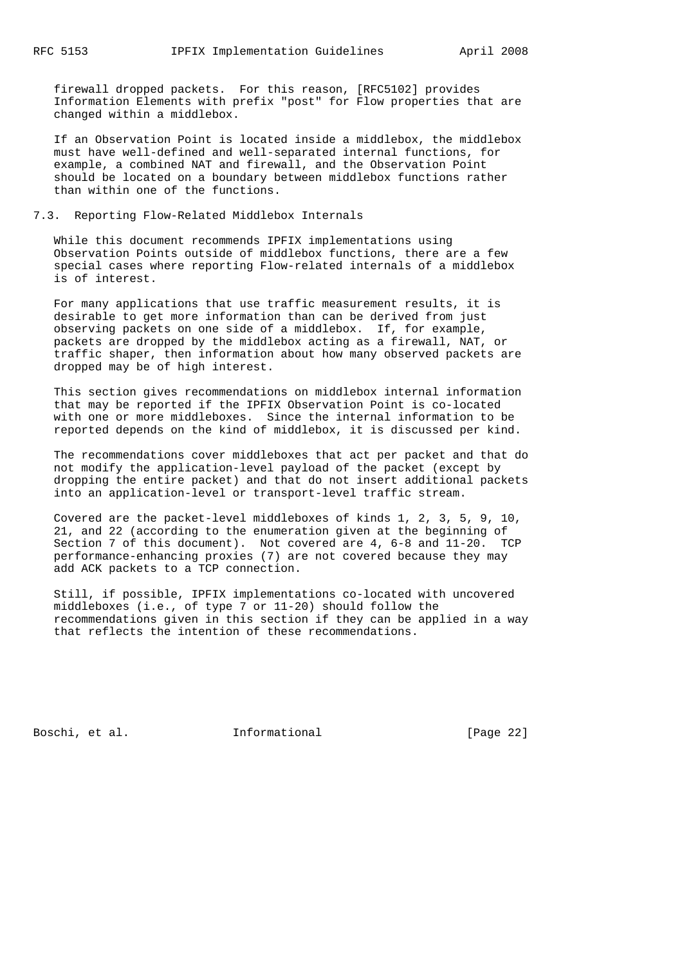firewall dropped packets. For this reason, [RFC5102] provides Information Elements with prefix "post" for Flow properties that are changed within a middlebox.

 If an Observation Point is located inside a middlebox, the middlebox must have well-defined and well-separated internal functions, for example, a combined NAT and firewall, and the Observation Point should be located on a boundary between middlebox functions rather than within one of the functions.

### 7.3. Reporting Flow-Related Middlebox Internals

 While this document recommends IPFIX implementations using Observation Points outside of middlebox functions, there are a few special cases where reporting Flow-related internals of a middlebox is of interest.

 For many applications that use traffic measurement results, it is desirable to get more information than can be derived from just observing packets on one side of a middlebox. If, for example, packets are dropped by the middlebox acting as a firewall, NAT, or traffic shaper, then information about how many observed packets are dropped may be of high interest.

 This section gives recommendations on middlebox internal information that may be reported if the IPFIX Observation Point is co-located with one or more middleboxes. Since the internal information to be reported depends on the kind of middlebox, it is discussed per kind.

 The recommendations cover middleboxes that act per packet and that do not modify the application-level payload of the packet (except by dropping the entire packet) and that do not insert additional packets into an application-level or transport-level traffic stream.

 Covered are the packet-level middleboxes of kinds 1, 2, 3, 5, 9, 10, 21, and 22 (according to the enumeration given at the beginning of Section 7 of this document). Not covered are 4, 6-8 and 11-20. TCP performance-enhancing proxies (7) are not covered because they may add ACK packets to a TCP connection.

 Still, if possible, IPFIX implementations co-located with uncovered middleboxes (i.e., of type 7 or 11-20) should follow the recommendations given in this section if they can be applied in a way that reflects the intention of these recommendations.

Boschi, et al. 1nformational [Page 22]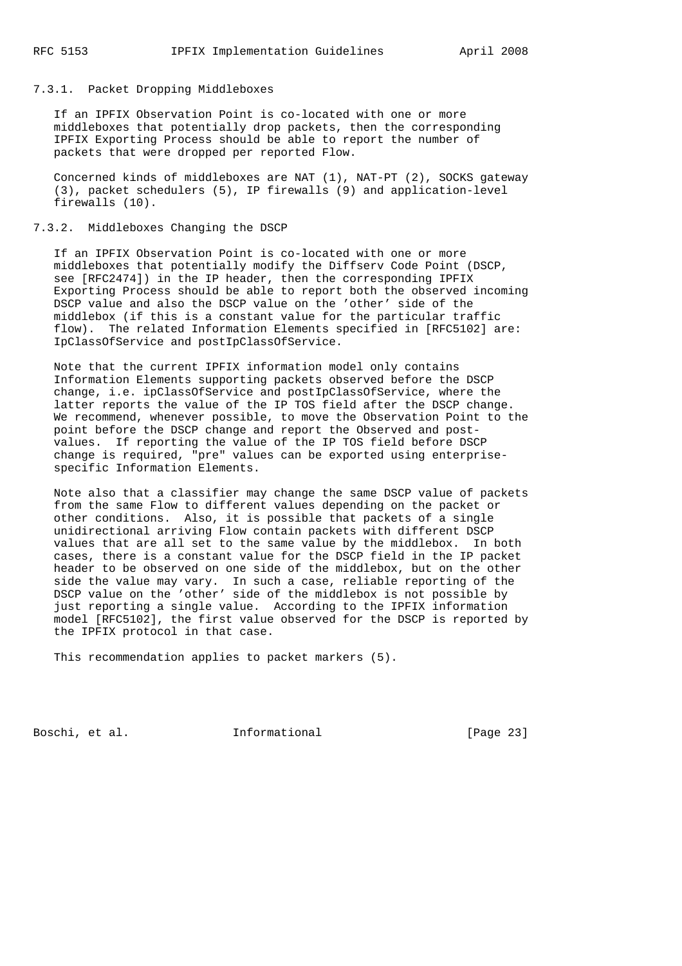#### 7.3.1. Packet Dropping Middleboxes

 If an IPFIX Observation Point is co-located with one or more middleboxes that potentially drop packets, then the corresponding IPFIX Exporting Process should be able to report the number of packets that were dropped per reported Flow.

 Concerned kinds of middleboxes are NAT (1), NAT-PT (2), SOCKS gateway (3), packet schedulers (5), IP firewalls (9) and application-level firewalls (10).

## 7.3.2. Middleboxes Changing the DSCP

 If an IPFIX Observation Point is co-located with one or more middleboxes that potentially modify the Diffserv Code Point (DSCP, see [RFC2474]) in the IP header, then the corresponding IPFIX Exporting Process should be able to report both the observed incoming DSCP value and also the DSCP value on the 'other' side of the middlebox (if this is a constant value for the particular traffic flow). The related Information Elements specified in [RFC5102] are: IpClassOfService and postIpClassOfService.

 Note that the current IPFIX information model only contains Information Elements supporting packets observed before the DSCP change, i.e. ipClassOfService and postIpClassOfService, where the latter reports the value of the IP TOS field after the DSCP change. We recommend, whenever possible, to move the Observation Point to the point before the DSCP change and report the Observed and post values. If reporting the value of the IP TOS field before DSCP change is required, "pre" values can be exported using enterprise specific Information Elements.

 Note also that a classifier may change the same DSCP value of packets from the same Flow to different values depending on the packet or other conditions. Also, it is possible that packets of a single unidirectional arriving Flow contain packets with different DSCP values that are all set to the same value by the middlebox. In both cases, there is a constant value for the DSCP field in the IP packet header to be observed on one side of the middlebox, but on the other side the value may vary. In such a case, reliable reporting of the DSCP value on the 'other' side of the middlebox is not possible by just reporting a single value. According to the IPFIX information model [RFC5102], the first value observed for the DSCP is reported by the IPFIX protocol in that case.

This recommendation applies to packet markers (5).

Boschi, et al. 1nformational [Page 23]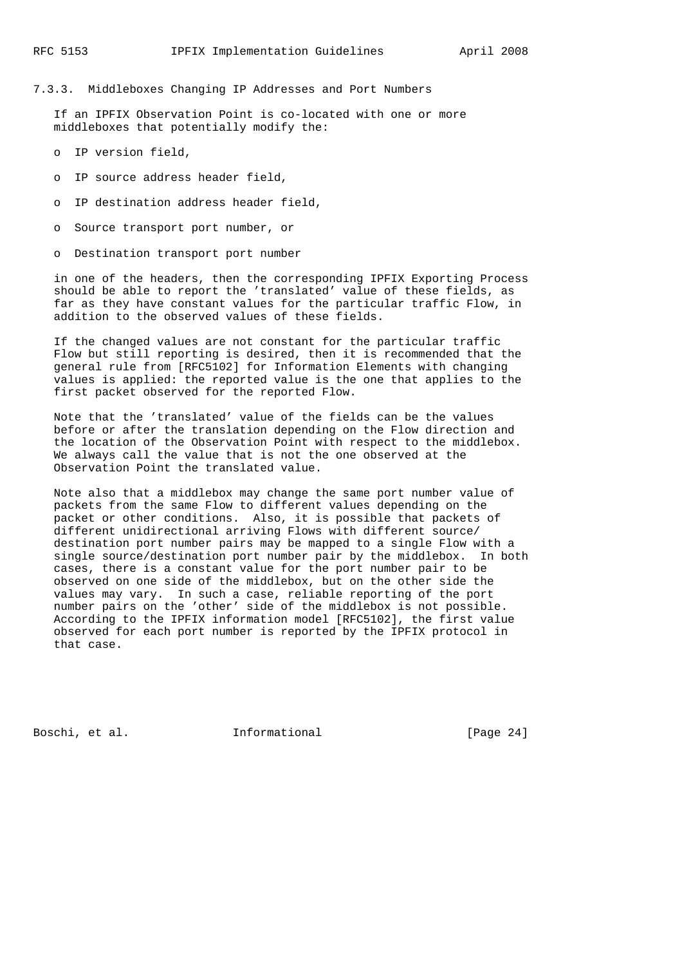# 7.3.3. Middleboxes Changing IP Addresses and Port Numbers

 If an IPFIX Observation Point is co-located with one or more middleboxes that potentially modify the:

- o IP version field,
- o IP source address header field,
- o IP destination address header field,
- o Source transport port number, or

o Destination transport port number

 in one of the headers, then the corresponding IPFIX Exporting Process should be able to report the 'translated' value of these fields, as far as they have constant values for the particular traffic Flow, in addition to the observed values of these fields.

 If the changed values are not constant for the particular traffic Flow but still reporting is desired, then it is recommended that the general rule from [RFC5102] for Information Elements with changing values is applied: the reported value is the one that applies to the first packet observed for the reported Flow.

 Note that the 'translated' value of the fields can be the values before or after the translation depending on the Flow direction and the location of the Observation Point with respect to the middlebox. We always call the value that is not the one observed at the Observation Point the translated value.

 Note also that a middlebox may change the same port number value of packets from the same Flow to different values depending on the packet or other conditions. Also, it is possible that packets of different unidirectional arriving Flows with different source/ destination port number pairs may be mapped to a single Flow with a single source/destination port number pair by the middlebox. In both cases, there is a constant value for the port number pair to be observed on one side of the middlebox, but on the other side the values may vary. In such a case, reliable reporting of the port number pairs on the 'other' side of the middlebox is not possible. According to the IPFIX information model [RFC5102], the first value observed for each port number is reported by the IPFIX protocol in that case.

Boschi, et al. 1nformational [Page 24]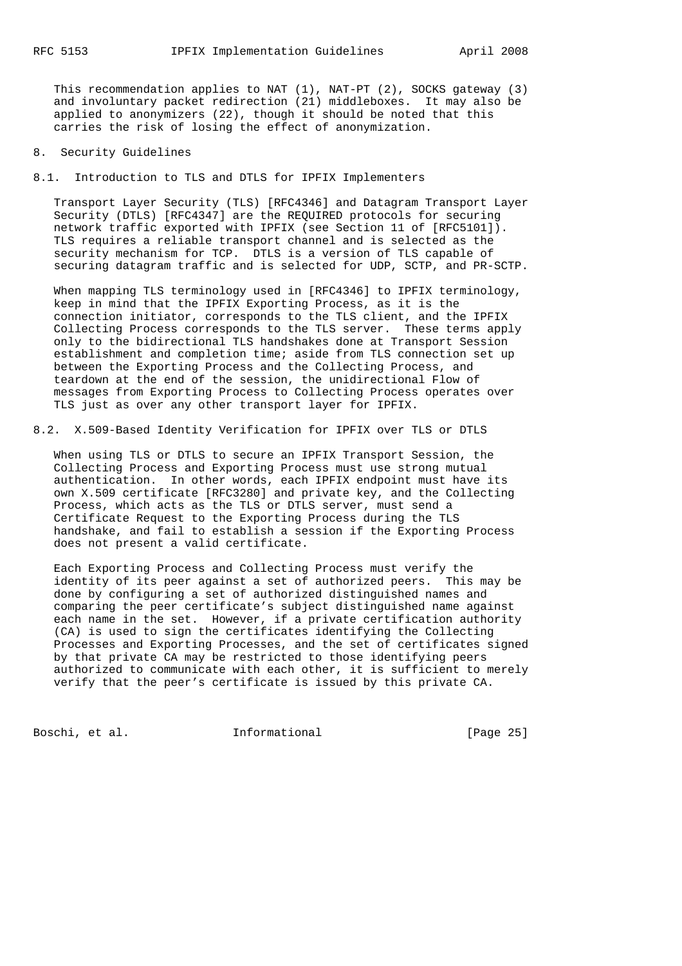This recommendation applies to NAT (1), NAT-PT (2), SOCKS gateway (3) and involuntary packet redirection (21) middleboxes. It may also be applied to anonymizers (22), though it should be noted that this carries the risk of losing the effect of anonymization.

### 8. Security Guidelines

8.1. Introduction to TLS and DTLS for IPFIX Implementers

 Transport Layer Security (TLS) [RFC4346] and Datagram Transport Layer Security (DTLS) [RFC4347] are the REQUIRED protocols for securing network traffic exported with IPFIX (see Section 11 of [RFC5101]). TLS requires a reliable transport channel and is selected as the security mechanism for TCP. DTLS is a version of TLS capable of securing datagram traffic and is selected for UDP, SCTP, and PR-SCTP.

 When mapping TLS terminology used in [RFC4346] to IPFIX terminology, keep in mind that the IPFIX Exporting Process, as it is the connection initiator, corresponds to the TLS client, and the IPFIX Collecting Process corresponds to the TLS server. These terms apply only to the bidirectional TLS handshakes done at Transport Session establishment and completion time; aside from TLS connection set up between the Exporting Process and the Collecting Process, and teardown at the end of the session, the unidirectional Flow of messages from Exporting Process to Collecting Process operates over TLS just as over any other transport layer for IPFIX.

8.2. X.509-Based Identity Verification for IPFIX over TLS or DTLS

 When using TLS or DTLS to secure an IPFIX Transport Session, the Collecting Process and Exporting Process must use strong mutual authentication. In other words, each IPFIX endpoint must have its own X.509 certificate [RFC3280] and private key, and the Collecting Process, which acts as the TLS or DTLS server, must send a Certificate Request to the Exporting Process during the TLS handshake, and fail to establish a session if the Exporting Process does not present a valid certificate.

 Each Exporting Process and Collecting Process must verify the identity of its peer against a set of authorized peers. This may be done by configuring a set of authorized distinguished names and comparing the peer certificate's subject distinguished name against each name in the set. However, if a private certification authority (CA) is used to sign the certificates identifying the Collecting Processes and Exporting Processes, and the set of certificates signed by that private CA may be restricted to those identifying peers authorized to communicate with each other, it is sufficient to merely verify that the peer's certificate is issued by this private CA.

Boschi, et al. 1nformational 1999 [Page 25]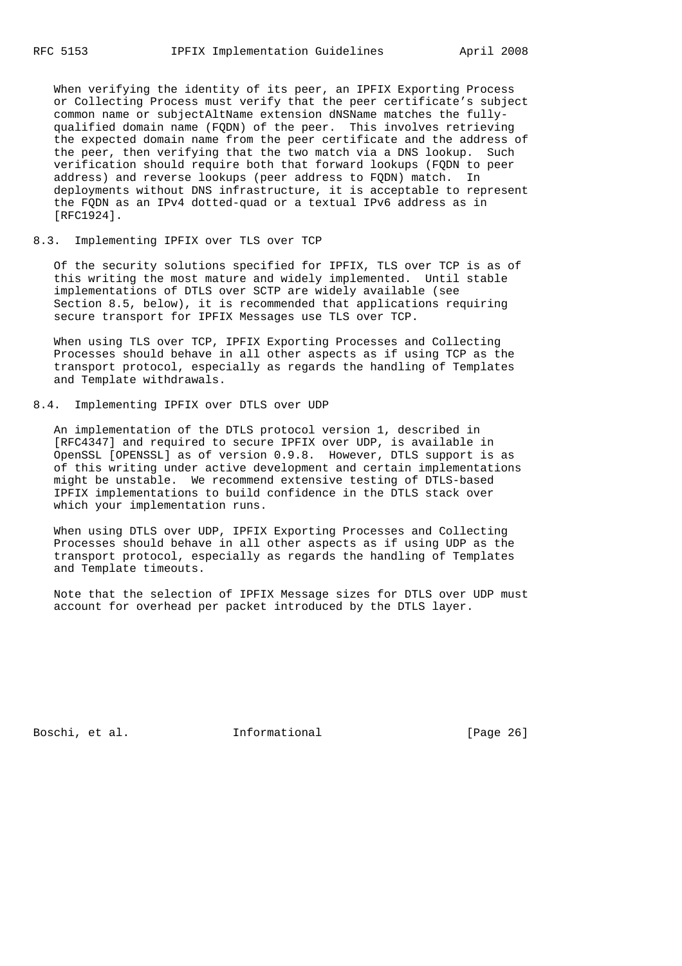When verifying the identity of its peer, an IPFIX Exporting Process or Collecting Process must verify that the peer certificate's subject common name or subjectAltName extension dNSName matches the fully qualified domain name (FQDN) of the peer. This involves retrieving the expected domain name from the peer certificate and the address of the peer, then verifying that the two match via a DNS lookup. Such verification should require both that forward lookups (FQDN to peer address) and reverse lookups (peer address to FQDN) match. In deployments without DNS infrastructure, it is acceptable to represent the FQDN as an IPv4 dotted-quad or a textual IPv6 address as in [RFC1924].

### 8.3. Implementing IPFIX over TLS over TCP

 Of the security solutions specified for IPFIX, TLS over TCP is as of this writing the most mature and widely implemented. Until stable implementations of DTLS over SCTP are widely available (see Section 8.5, below), it is recommended that applications requiring secure transport for IPFIX Messages use TLS over TCP.

 When using TLS over TCP, IPFIX Exporting Processes and Collecting Processes should behave in all other aspects as if using TCP as the transport protocol, especially as regards the handling of Templates and Template withdrawals.

# 8.4. Implementing IPFIX over DTLS over UDP

 An implementation of the DTLS protocol version 1, described in [RFC4347] and required to secure IPFIX over UDP, is available in OpenSSL [OPENSSL] as of version 0.9.8. However, DTLS support is as of this writing under active development and certain implementations might be unstable. We recommend extensive testing of DTLS-based IPFIX implementations to build confidence in the DTLS stack over which your implementation runs.

 When using DTLS over UDP, IPFIX Exporting Processes and Collecting Processes should behave in all other aspects as if using UDP as the transport protocol, especially as regards the handling of Templates and Template timeouts.

 Note that the selection of IPFIX Message sizes for DTLS over UDP must account for overhead per packet introduced by the DTLS layer.

Boschi, et al. 1nformational [Page 26]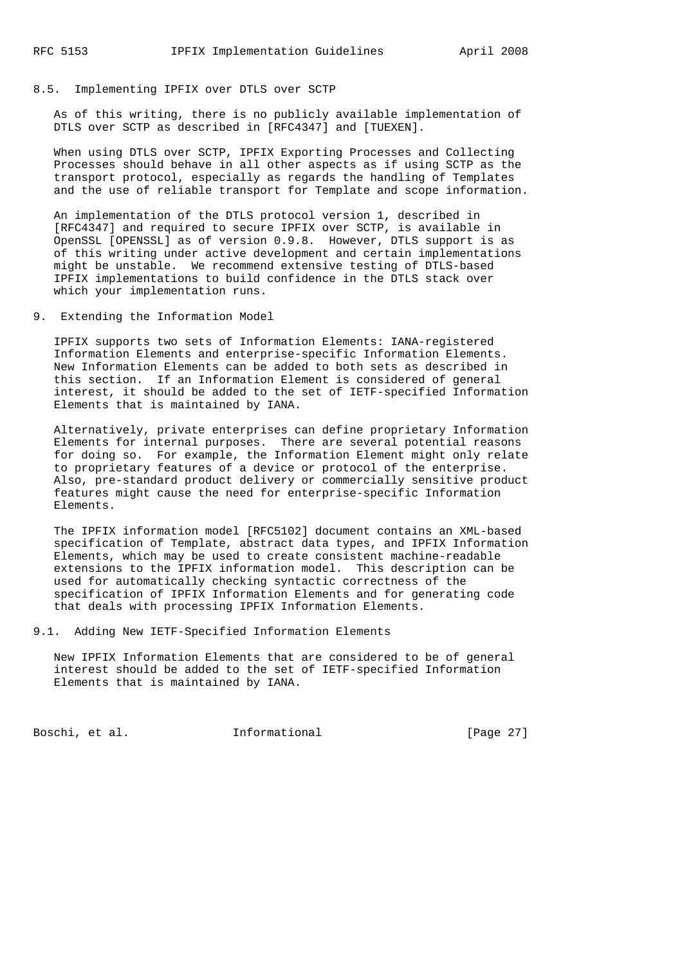### 8.5. Implementing IPFIX over DTLS over SCTP

 As of this writing, there is no publicly available implementation of DTLS over SCTP as described in [RFC4347] and [TUEXEN].

 When using DTLS over SCTP, IPFIX Exporting Processes and Collecting Processes should behave in all other aspects as if using SCTP as the transport protocol, especially as regards the handling of Templates and the use of reliable transport for Template and scope information.

 An implementation of the DTLS protocol version 1, described in [RFC4347] and required to secure IPFIX over SCTP, is available in OpenSSL [OPENSSL] as of version 0.9.8. However, DTLS support is as of this writing under active development and certain implementations might be unstable. We recommend extensive testing of DTLS-based IPFIX implementations to build confidence in the DTLS stack over which your implementation runs.

9. Extending the Information Model

 IPFIX supports two sets of Information Elements: IANA-registered Information Elements and enterprise-specific Information Elements. New Information Elements can be added to both sets as described in this section. If an Information Element is considered of general interest, it should be added to the set of IETF-specified Information Elements that is maintained by IANA.

 Alternatively, private enterprises can define proprietary Information Elements for internal purposes. There are several potential reasons for doing so. For example, the Information Element might only relate to proprietary features of a device or protocol of the enterprise. Also, pre-standard product delivery or commercially sensitive product features might cause the need for enterprise-specific Information Elements.

 The IPFIX information model [RFC5102] document contains an XML-based specification of Template, abstract data types, and IPFIX Information Elements, which may be used to create consistent machine-readable extensions to the IPFIX information model. This description can be used for automatically checking syntactic correctness of the specification of IPFIX Information Elements and for generating code that deals with processing IPFIX Information Elements.

9.1. Adding New IETF-Specified Information Elements

 New IPFIX Information Elements that are considered to be of general interest should be added to the set of IETF-specified Information Elements that is maintained by IANA.

Boschi, et al. 1nformational [Page 27]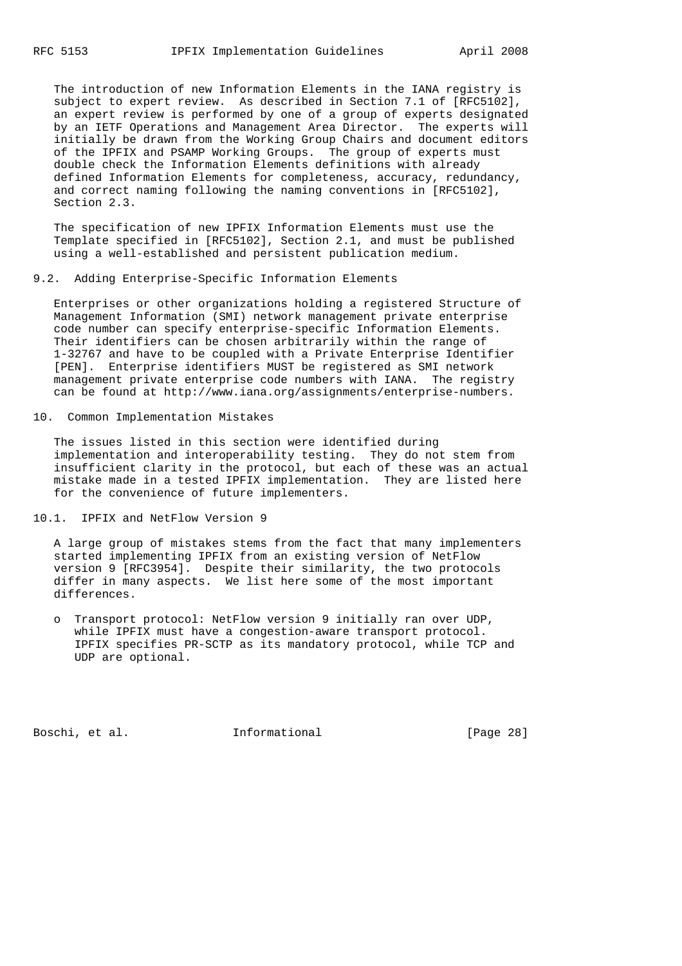The introduction of new Information Elements in the IANA registry is subject to expert review. As described in Section 7.1 of [RFC5102], an expert review is performed by one of a group of experts designated by an IETF Operations and Management Area Director. The experts will initially be drawn from the Working Group Chairs and document editors of the IPFIX and PSAMP Working Groups. The group of experts must double check the Information Elements definitions with already defined Information Elements for completeness, accuracy, redundancy, and correct naming following the naming conventions in [RFC5102], Section 2.3.

 The specification of new IPFIX Information Elements must use the Template specified in [RFC5102], Section 2.1, and must be published using a well-established and persistent publication medium.

### 9.2. Adding Enterprise-Specific Information Elements

 Enterprises or other organizations holding a registered Structure of Management Information (SMI) network management private enterprise code number can specify enterprise-specific Information Elements. Their identifiers can be chosen arbitrarily within the range of 1-32767 and have to be coupled with a Private Enterprise Identifier [PEN]. Enterprise identifiers MUST be registered as SMI network management private enterprise code numbers with IANA. The registry can be found at http://www.iana.org/assignments/enterprise-numbers.

10. Common Implementation Mistakes

 The issues listed in this section were identified during implementation and interoperability testing. They do not stem from insufficient clarity in the protocol, but each of these was an actual mistake made in a tested IPFIX implementation. They are listed here for the convenience of future implementers.

10.1. IPFIX and NetFlow Version 9

 A large group of mistakes stems from the fact that many implementers started implementing IPFIX from an existing version of NetFlow version 9 [RFC3954]. Despite their similarity, the two protocols differ in many aspects. We list here some of the most important differences.

 o Transport protocol: NetFlow version 9 initially ran over UDP, while IPFIX must have a congestion-aware transport protocol. IPFIX specifies PR-SCTP as its mandatory protocol, while TCP and UDP are optional.

Boschi, et al. 1nformational [Page 28]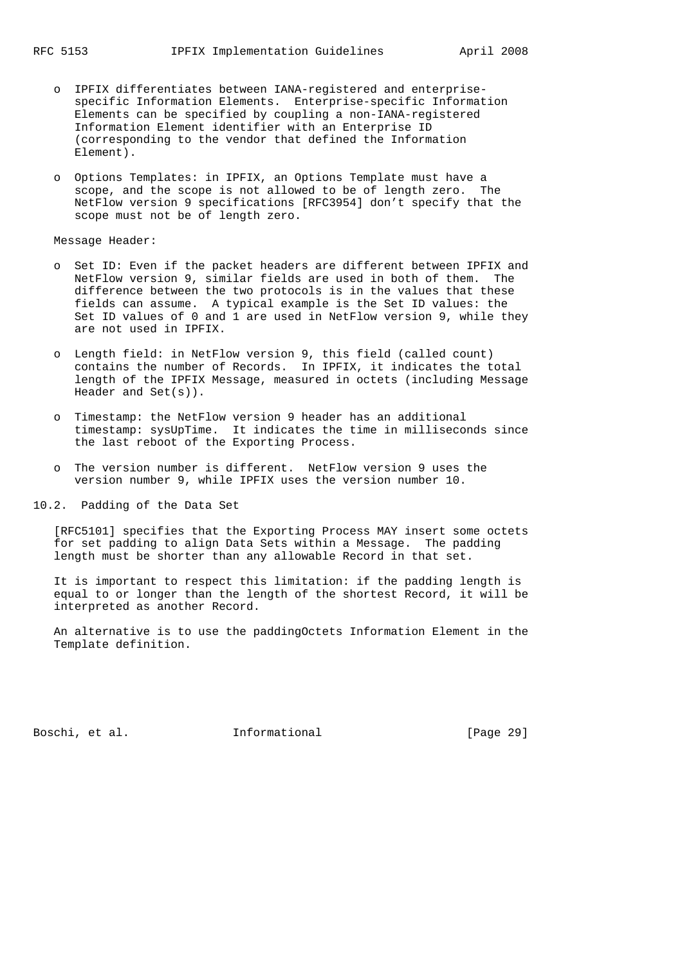- o IPFIX differentiates between IANA-registered and enterprise specific Information Elements. Enterprise-specific Information Elements can be specified by coupling a non-IANA-registered Information Element identifier with an Enterprise ID (corresponding to the vendor that defined the Information Element).
- o Options Templates: in IPFIX, an Options Template must have a scope, and the scope is not allowed to be of length zero. The NetFlow version 9 specifications [RFC3954] don't specify that the scope must not be of length zero.

Message Header:

- o Set ID: Even if the packet headers are different between IPFIX and NetFlow version 9, similar fields are used in both of them. The difference between the two protocols is in the values that these fields can assume. A typical example is the Set ID values: the Set ID values of 0 and 1 are used in NetFlow version 9, while they are not used in IPFIX.
- o Length field: in NetFlow version 9, this field (called count) contains the number of Records. In IPFIX, it indicates the total length of the IPFIX Message, measured in octets (including Message Header and Set(s)).
- o Timestamp: the NetFlow version 9 header has an additional timestamp: sysUpTime. It indicates the time in milliseconds since the last reboot of the Exporting Process.
- o The version number is different. NetFlow version 9 uses the version number 9, while IPFIX uses the version number 10.

10.2. Padding of the Data Set

 [RFC5101] specifies that the Exporting Process MAY insert some octets for set padding to align Data Sets within a Message. The padding length must be shorter than any allowable Record in that set.

 It is important to respect this limitation: if the padding length is equal to or longer than the length of the shortest Record, it will be interpreted as another Record.

 An alternative is to use the paddingOctets Information Element in the Template definition.

Boschi, et al. 1nformational [Page 29]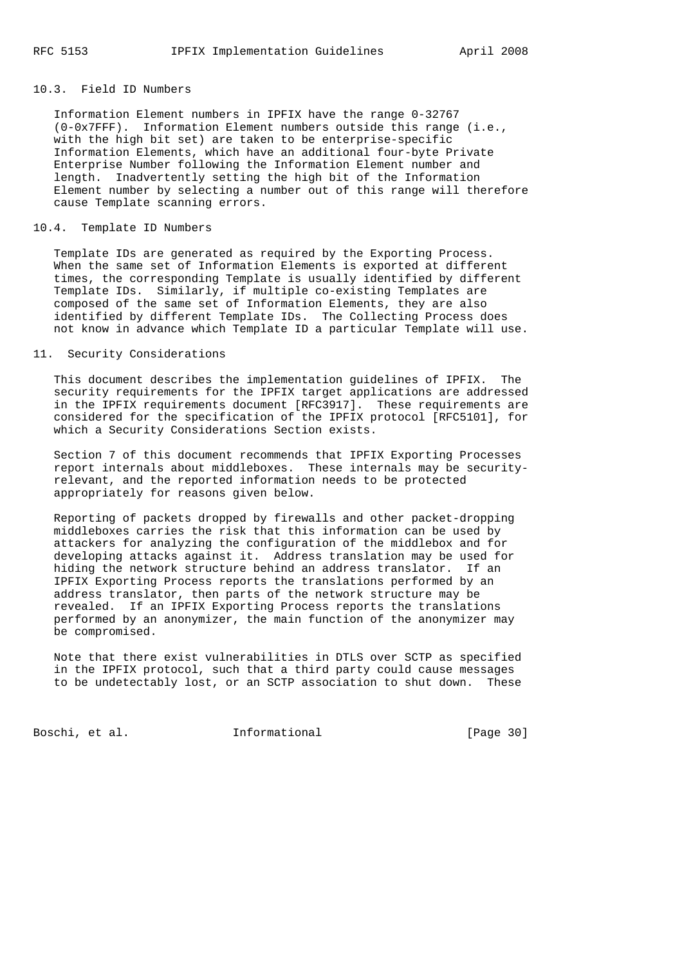# 10.3. Field ID Numbers

 Information Element numbers in IPFIX have the range 0-32767 (0-0x7FFF). Information Element numbers outside this range (i.e., with the high bit set) are taken to be enterprise-specific Information Elements, which have an additional four-byte Private Enterprise Number following the Information Element number and length. Inadvertently setting the high bit of the Information Element number by selecting a number out of this range will therefore cause Template scanning errors.

### 10.4. Template ID Numbers

 Template IDs are generated as required by the Exporting Process. When the same set of Information Elements is exported at different times, the corresponding Template is usually identified by different Template IDs. Similarly, if multiple co-existing Templates are composed of the same set of Information Elements, they are also identified by different Template IDs. The Collecting Process does not know in advance which Template ID a particular Template will use.

### 11. Security Considerations

 This document describes the implementation guidelines of IPFIX. The security requirements for the IPFIX target applications are addressed in the IPFIX requirements document [RFC3917]. These requirements are considered for the specification of the IPFIX protocol [RFC5101], for which a Security Considerations Section exists.

 Section 7 of this document recommends that IPFIX Exporting Processes report internals about middleboxes. These internals may be security relevant, and the reported information needs to be protected appropriately for reasons given below.

 Reporting of packets dropped by firewalls and other packet-dropping middleboxes carries the risk that this information can be used by attackers for analyzing the configuration of the middlebox and for developing attacks against it. Address translation may be used for hiding the network structure behind an address translator. If an IPFIX Exporting Process reports the translations performed by an address translator, then parts of the network structure may be revealed. If an IPFIX Exporting Process reports the translations performed by an anonymizer, the main function of the anonymizer may be compromised.

 Note that there exist vulnerabilities in DTLS over SCTP as specified in the IPFIX protocol, such that a third party could cause messages to be undetectably lost, or an SCTP association to shut down. These

Boschi, et al. 1nformational [Page 30]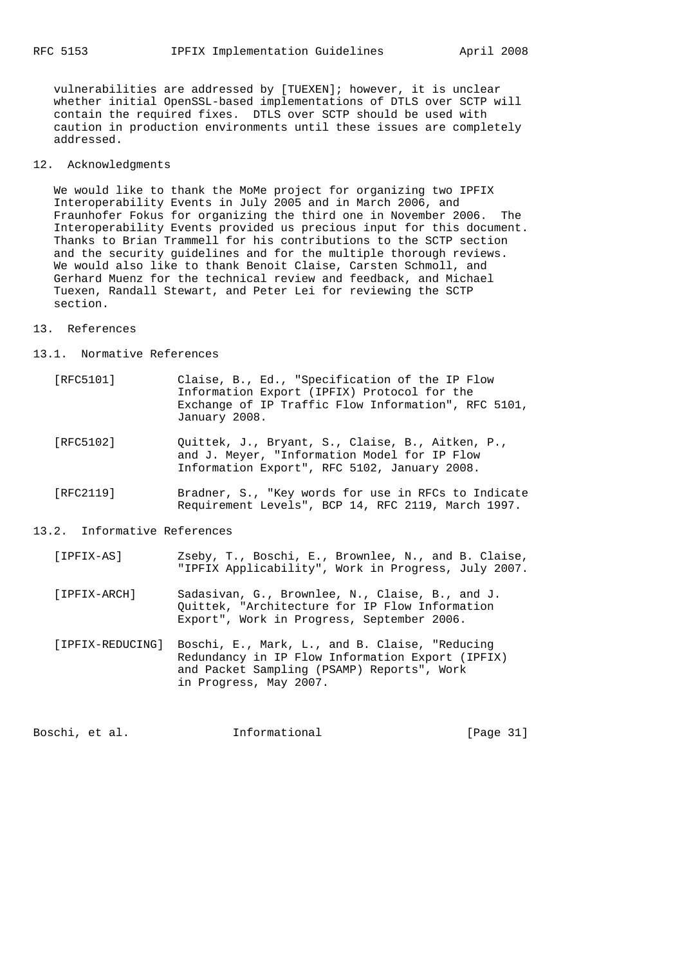vulnerabilities are addressed by [TUEXEN]; however, it is unclear whether initial OpenSSL-based implementations of DTLS over SCTP will contain the required fixes. DTLS over SCTP should be used with caution in production environments until these issues are completely addressed.

12. Acknowledgments

 We would like to thank the MoMe project for organizing two IPFIX Interoperability Events in July 2005 and in March 2006, and Fraunhofer Fokus for organizing the third one in November 2006. The Interoperability Events provided us precious input for this document. Thanks to Brian Trammell for his contributions to the SCTP section and the security guidelines and for the multiple thorough reviews. We would also like to thank Benoit Claise, Carsten Schmoll, and Gerhard Muenz for the technical review and feedback, and Michael Tuexen, Randall Stewart, and Peter Lei for reviewing the SCTP section.

### 13. References

#### 13.1. Normative References

- [RFC5101] Claise, B., Ed., "Specification of the IP Flow Information Export (IPFIX) Protocol for the Exchange of IP Traffic Flow Information", RFC 5101, January 2008.
- [RFC5102] Quittek, J., Bryant, S., Claise, B., Aitken, P., and J. Meyer, "Information Model for IP Flow Information Export", RFC 5102, January 2008.
- [RFC2119] Bradner, S., "Key words for use in RFCs to Indicate Requirement Levels", BCP 14, RFC 2119, March 1997.

### 13.2. Informative References

- [IPFIX-AS] Zseby, T., Boschi, E., Brownlee, N., and B. Claise, "IPFIX Applicability", Work in Progress, July 2007.
- [IPFIX-ARCH] Sadasivan, G., Brownlee, N., Claise, B., and J. Quittek, "Architecture for IP Flow Information Export", Work in Progress, September 2006.
- [IPFIX-REDUCING] Boschi, E., Mark, L., and B. Claise, "Reducing Redundancy in IP Flow Information Export (IPFIX) and Packet Sampling (PSAMP) Reports", Work in Progress, May 2007.

| Boschi, et al.<br>Informational | [Page 31] |
|---------------------------------|-----------|
|---------------------------------|-----------|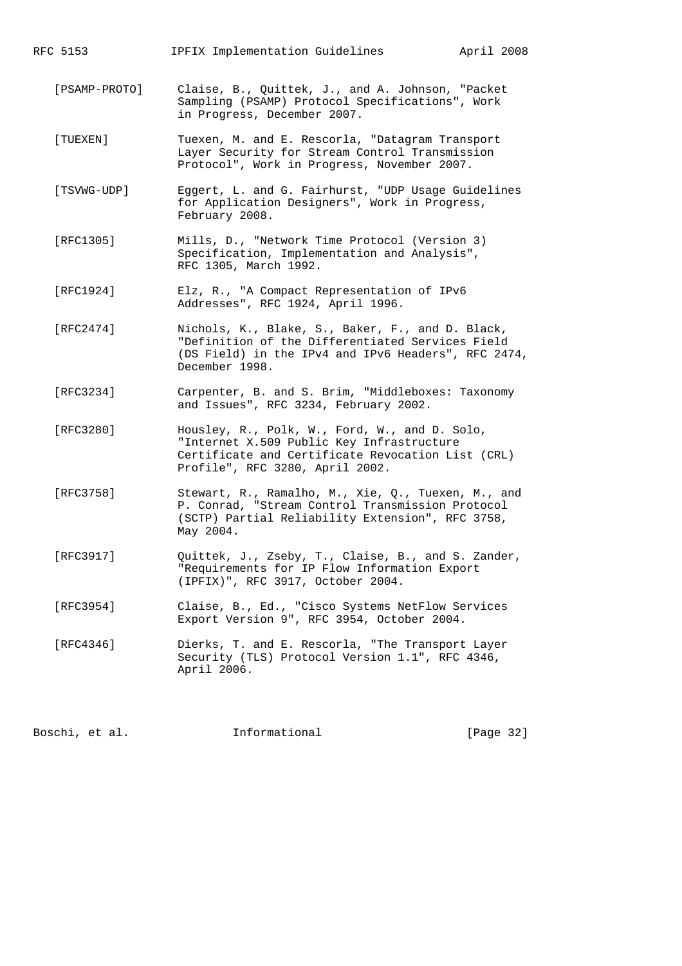RFC 5153 IPFIX Implementation Guidelines April 2008

- [PSAMP-PROTO] Claise, B., Quittek, J., and A. Johnson, "Packet Sampling (PSAMP) Protocol Specifications", Work in Progress, December 2007.
- [TUEXEN] Tuexen, M. and E. Rescorla, "Datagram Transport Layer Security for Stream Control Transmission Protocol", Work in Progress, November 2007.
- [TSVWG-UDP] Eggert, L. and G. Fairhurst, "UDP Usage Guidelines for Application Designers", Work in Progress, February 2008.
- [RFC1305] Mills, D., "Network Time Protocol (Version 3) Specification, Implementation and Analysis", RFC 1305, March 1992.
- [RFC1924] Elz, R., "A Compact Representation of IPv6 Addresses", RFC 1924, April 1996.
- [RFC2474] Nichols, K., Blake, S., Baker, F., and D. Black, "Definition of the Differentiated Services Field (DS Field) in the IPv4 and IPv6 Headers", RFC 2474, December 1998.
- [RFC3234] Carpenter, B. and S. Brim, "Middleboxes: Taxonomy and Issues", RFC 3234, February 2002.
- [RFC3280] Housley, R., Polk, W., Ford, W., and D. Solo, "Internet X.509 Public Key Infrastructure Certificate and Certificate Revocation List (CRL) Profile", RFC 3280, April 2002.
- [RFC3758] Stewart, R., Ramalho, M., Xie, Q., Tuexen, M., and P. Conrad, "Stream Control Transmission Protocol (SCTP) Partial Reliability Extension", RFC 3758, May 2004.
- [RFC3917] Quittek, J., Zseby, T., Claise, B., and S. Zander, "Requirements for IP Flow Information Export (IPFIX)", RFC 3917, October 2004.
- [RFC3954] Claise, B., Ed., "Cisco Systems NetFlow Services Export Version 9", RFC 3954, October 2004.
- [RFC4346] Dierks, T. and E. Rescorla, "The Transport Layer Security (TLS) Protocol Version 1.1", RFC 4346, April 2006.

Boschi, et al. **Informational** [Page 32]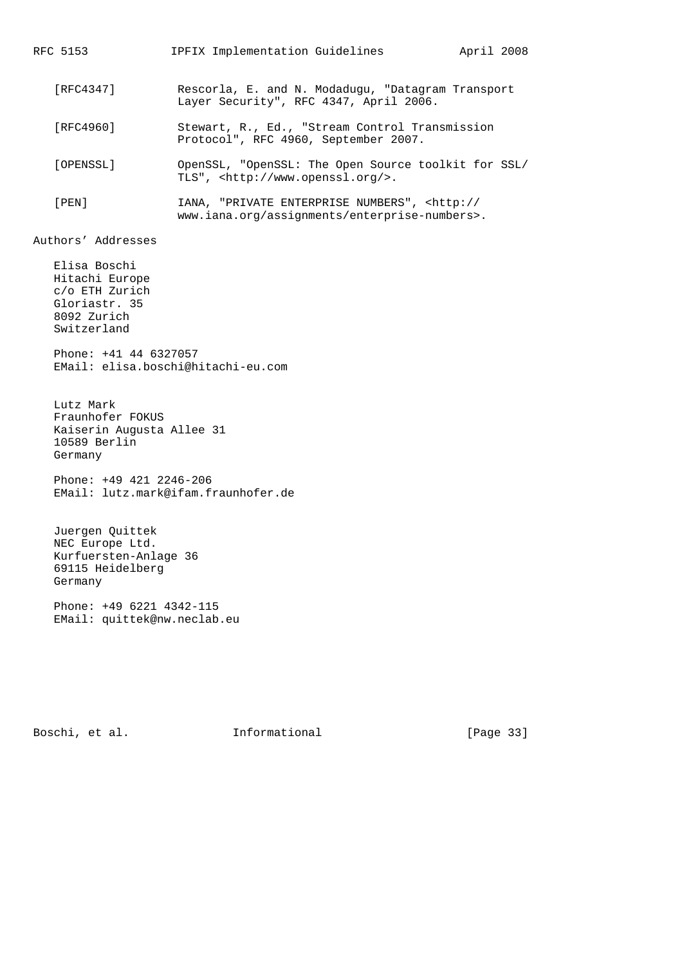RFC 5153 IPFIX Implementation Guidelines April 2008 [RFC4347] Rescorla, E. and N. Modadugu, "Datagram Transport Layer Security", RFC 4347, April 2006. [RFC4960] Stewart, R., Ed., "Stream Control Transmission Protocol", RFC 4960, September 2007. [OPENSSL] OpenSSL, "OpenSSL: The Open Source toolkit for SSL/ TLS", <http://www.openssl.org/>. [PEN] IANA, "PRIVATE ENTERPRISE NUMBERS", <http:// www.iana.org/assignments/enterprise-numbers>. Authors' Addresses Elisa Boschi Hitachi Europe c/o ETH Zurich Gloriastr. 35 8092 Zurich Switzerland Phone: +41 44 6327057 EMail: elisa.boschi@hitachi-eu.com Lutz Mark Fraunhofer FOKUS Kaiserin Augusta Allee 31 10589 Berlin Germany Phone: +49 421 2246-206 EMail: lutz.mark@ifam.fraunhofer.de Juergen Quittek NEC Europe Ltd. Kurfuersten-Anlage 36 69115 Heidelberg Germany Phone: +49 6221 4342-115 EMail: quittek@nw.neclab.eu

Boschi, et al. 1nformational [Page 33]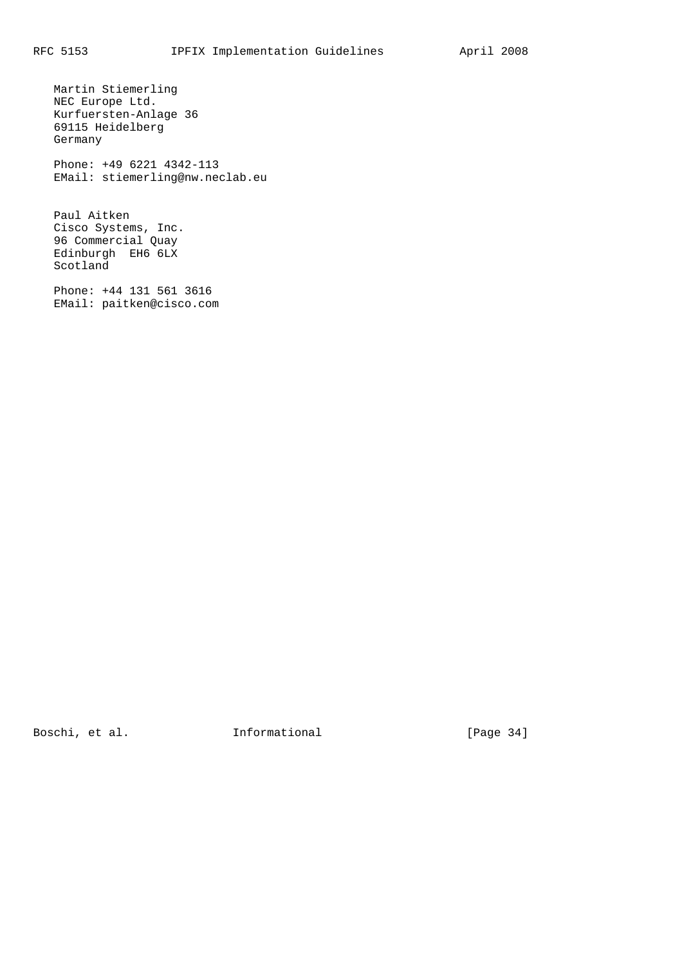Martin Stiemerling NEC Europe Ltd. Kurfuersten-Anlage 36 69115 Heidelberg Germany Phone: +49 6221 4342-113 EMail: stiemerling@nw.neclab.eu Paul Aitken Cisco Systems, Inc. 96 Commercial Quay Edinburgh EH6 6LX Scotland

 Phone: +44 131 561 3616 EMail: paitken@cisco.com

Boschi, et al. 1nformational [Page 34]